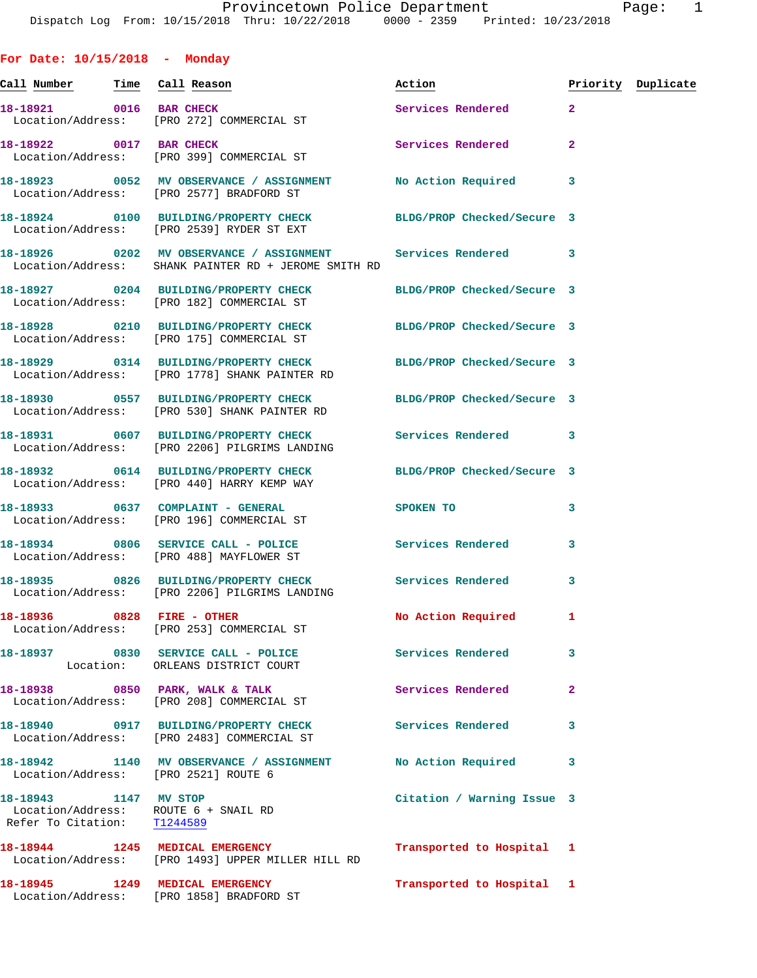**For Date: 10/15/2018 - Monday Call Number Time Call Reason Action Priority Duplicate 18-18921 0016 BAR CHECK Services Rendered 2**  Location/Address: [PRO 272] COMMERCIAL ST **18-18922** 0017 BAR CHECK **18-18922** 0017 BAR CHECK Location/Address: [PRO 399] COMMERCIAL ST **18-18923 0052 MV OBSERVANCE / ASSIGNMENT No Action Required 3**  Location/Address: [PRO 2577] BRADFORD ST **18-18924 0100 BUILDING/PROPERTY CHECK BLDG/PROP Checked/Secure 3**  Location/Address: [PRO 2539] RYDER ST EXT **18-18926 0202 MV OBSERVANCE / ASSIGNMENT Services Rendered 3**  Location/Address: SHANK PAINTER RD + JEROME SMITH RD **18-18927 0204 BUILDING/PROPERTY CHECK BLDG/PROP Checked/Secure 3**  Location/Address: [PRO 182] COMMERCIAL ST **18-18928 0210 BUILDING/PROPERTY CHECK BLDG/PROP Checked/Secure 3**  Location/Address: [PRO 175] COMMERCIAL ST **18-18929 0314 BUILDING/PROPERTY CHECK BLDG/PROP Checked/Secure 3**  Location/Address: [PRO 1778] SHANK PAINTER RD **18-18930 0557 BUILDING/PROPERTY CHECK BLDG/PROP Checked/Secure 3**  Location/Address: [PRO 530] SHANK PAINTER RD **18-18931 0607 BUILDING/PROPERTY CHECK Services Rendered 3**  Location/Address: [PRO 2206] PILGRIMS LANDING **18-18932 0614 BUILDING/PROPERTY CHECK BLDG/PROP Checked/Secure 3**  Location/Address: [PRO 440] HARRY KEMP WAY **18-18933 0637 COMPLAINT - GENERAL SPOKEN TO 3**  Location/Address: [PRO 196] COMMERCIAL ST **18-18934 0806 SERVICE CALL - POLICE Services Rendered 3**  Location/Address: [PRO 488] MAYFLOWER ST **18-18935 0826 BUILDING/PROPERTY CHECK Services Rendered 3**  Location/Address: [PRO 2206] PILGRIMS LANDING **18-18936 0828 FIRE - OTHER No Action Required 1**  Location/Address: [PRO 253] COMMERCIAL ST **18-18937 0830 SERVICE CALL - POLICE Services Rendered 3**  Location: ORLEANS DISTRICT COURT 18-18938 0850 PARK, WALK & TALK **Services Rendered** 2 Location/Address: [PRO 208] COMMERCIAL ST **18-18940 0917 BUILDING/PROPERTY CHECK Services Rendered 3**  Location/Address: [PRO 2483] COMMERCIAL ST **18-18942 1140 MV OBSERVANCE / ASSIGNMENT No Action Required 3**  Location/Address: [PRO 2521] ROUTE 6 **18-18943 1147 MV STOP Citation / Warning Issue 3**  Location/Address: ROUTE 6 + SNAIL RD Refer To Citation: T1244589 **18-18944 1245 MEDICAL EMERGENCY Transported to Hospital 1**  Location/Address: [PRO 1493] UPPER MILLER HILL RD

**18-18945 1249 MEDICAL EMERGENCY Transported to Hospital 1**  Location/Address: [PRO 1858] BRADFORD ST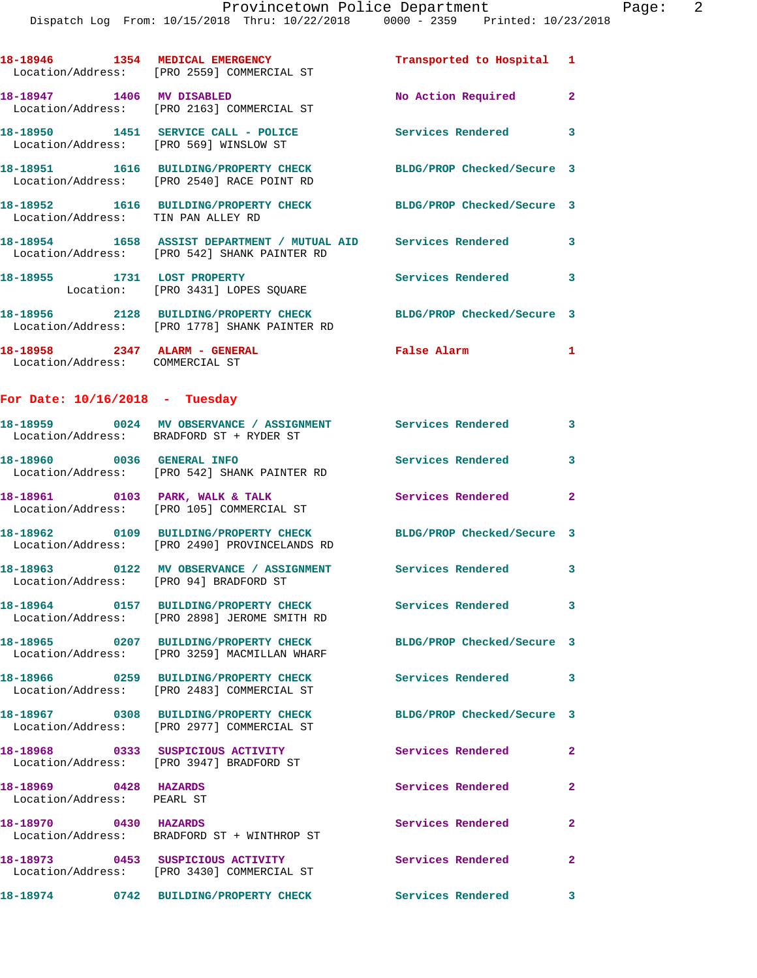|                                                                  | 18-18946 1354 MEDICAL EMERGENCY<br>Location/Address: [PRO 2559] COMMERCIAL ST                                     | Transported to Hospital 1  |                         |
|------------------------------------------------------------------|-------------------------------------------------------------------------------------------------------------------|----------------------------|-------------------------|
| 18-18947 1406 MV DISABLED                                        | Location/Address: [PRO 2163] COMMERCIAL ST                                                                        | No Action Required 2       |                         |
| Location/Address: [PRO 569] WINSLOW ST                           | 18-18950 1451 SERVICE CALL - POLICE                                                                               | Services Rendered 3        |                         |
|                                                                  | 18-18951 1616 BUILDING/PROPERTY CHECK<br>Location/Address: [PRO 2540] RACE POINT RD                               | BLDG/PROP Checked/Secure 3 |                         |
| Location/Address: TIN PAN ALLEY RD                               | 18-18952 1616 BUILDING/PROPERTY CHECK BLDG/PROP Checked/Secure 3                                                  |                            |                         |
|                                                                  | 18-18954 1658 ASSIST DEPARTMENT / MUTUAL AID Services Rendered<br>Location/Address: [PRO 542] SHANK PAINTER RD    |                            | 3                       |
| 18-18955 1731 LOST PROPERTY                                      | Location: [PRO 3431] LOPES SQUARE                                                                                 | <b>Services Rendered</b>   | 3                       |
|                                                                  | 18-18956 2128 BUILDING/PROPERTY CHECK<br>Location/Address: [PRO 1778] SHANK PAINTER RD                            | BLDG/PROP Checked/Secure 3 |                         |
| 18-18958 2347 ALARM - GENERAL<br>Location/Address: COMMERCIAL ST |                                                                                                                   | False Alarm                | $\mathbf{1}$            |
| For Date: $10/16/2018$ - Tuesday                                 |                                                                                                                   |                            |                         |
|                                                                  | 18-18959 0024 MV OBSERVANCE / ASSIGNMENT Services Rendered 3<br>Location/Address: BRADFORD ST + RYDER ST          |                            |                         |
| 18-18960 0036 GENERAL INFO                                       | Location/Address: [PRO 542] SHANK PAINTER RD                                                                      | Services Rendered 3        |                         |
|                                                                  | 18-18961 0103 PARK, WALK & TALK<br>Location/Address: [PRO 105] COMMERCIAL ST                                      | Services Rendered          | $\mathbf{2}$            |
|                                                                  | 18-18962 0109 BUILDING/PROPERTY CHECK BLDG/PROP Checked/Secure 3<br>Location/Address: [PRO 2490] PROVINCELANDS RD |                            |                         |
|                                                                  | 18-18963 0122 MV OBSERVANCE / ASSIGNMENT Services Rendered 3<br>Location/Address: [PRO 94] BRADFORD ST            |                            |                         |
|                                                                  | 18-18964 0157 BUILDING/PROPERTY CHECK<br>Location/Address: [PRO 2898] JEROME SMITH RD                             | <b>Services Rendered</b>   | $\overline{\mathbf{3}}$ |
|                                                                  | 18-18965 0207 BUILDING/PROPERTY CHECK<br>Location/Address: [PRO 3259] MACMILLAN WHARF                             | BLDG/PROP Checked/Secure 3 |                         |
|                                                                  | 18-18966 0259 BUILDING/PROPERTY CHECK<br>Location/Address: [PRO 2483] COMMERCIAL ST                               | <b>Services Rendered</b>   | 3                       |
|                                                                  | 18-18967 0308 BUILDING/PROPERTY CHECK<br>Location/Address: [PRO 2977] COMMERCIAL ST                               | BLDG/PROP Checked/Secure 3 |                         |
|                                                                  | 18-18968 0333 SUSPICIOUS ACTIVITY<br>Location/Address: [PRO 3947] BRADFORD ST                                     | Services Rendered          | $\mathbf{2}$            |
| 18-18969 0428 HAZARDS<br>Location/Address: PEARL ST              |                                                                                                                   | Services Rendered          | $\mathbf{2}$            |
| 18-18970 0430 HAZARDS                                            | Location/Address: BRADFORD ST + WINTHROP ST                                                                       | Services Rendered          | $\mathbf{2}$            |
|                                                                  | 18-18973 0453 SUSPICIOUS ACTIVITY<br>Location/Address: [PRO 3430] COMMERCIAL ST                                   | Services Rendered          | $\mathbf{2}$            |
|                                                                  | 18-18974 0742 BUILDING/PROPERTY CHECK                                                                             | <b>Services Rendered</b>   | 3                       |
|                                                                  |                                                                                                                   |                            |                         |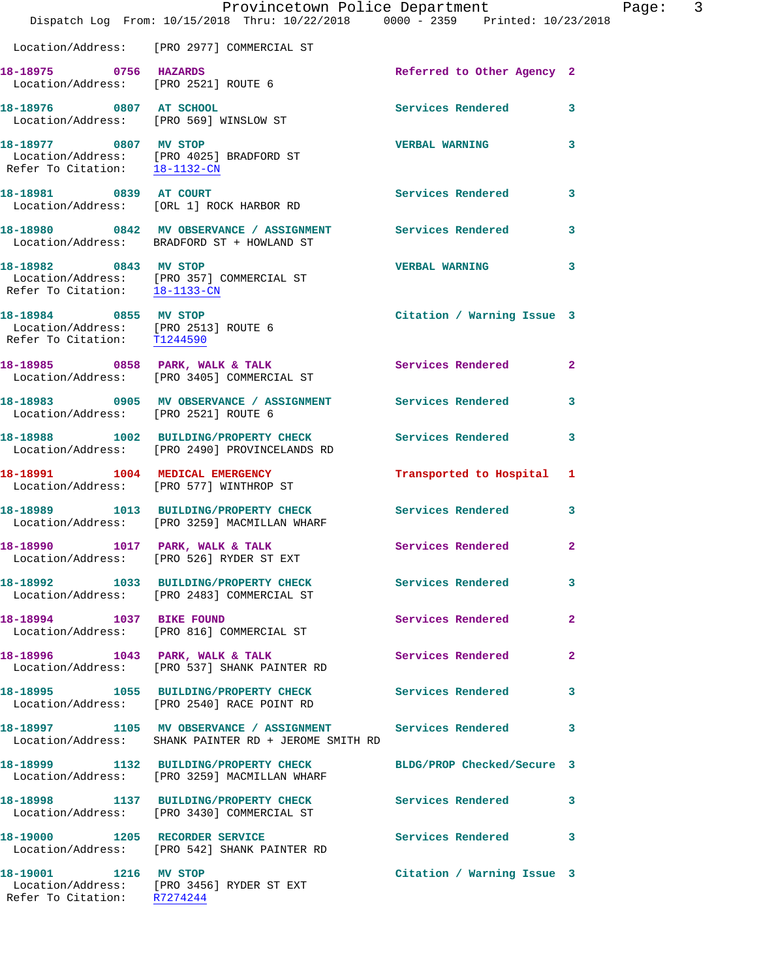|                                                                                              | Provincetown Police Department<br>Dispatch Log From: 10/15/2018 Thru: 10/22/2018 0000 - 2359 Printed: 10/23/2018   |                            |              |
|----------------------------------------------------------------------------------------------|--------------------------------------------------------------------------------------------------------------------|----------------------------|--------------|
|                                                                                              | Location/Address: [PRO 2977] COMMERCIAL ST                                                                         |                            |              |
| 18-18975 0756 HAZARDS                                                                        | Location/Address: [PRO 2521] ROUTE 6                                                                               | Referred to Other Agency 2 |              |
| 18-18976 0807 AT SCHOOL                                                                      | Location/Address: [PRO 569] WINSLOW ST                                                                             | <b>Services Rendered</b>   | 3            |
| 18-18977 0807 MV STOP<br>Refer To Citation: 18-1132-CN                                       | Location/Address: [PRO 4025] BRADFORD ST                                                                           | <b>VERBAL WARNING</b>      | 3            |
| 18-18981 0839 AT COURT                                                                       | Location/Address: [ORL 1] ROCK HARBOR RD                                                                           | <b>Services Rendered</b>   | 3            |
|                                                                                              | 18-18980 0842 MV OBSERVANCE / ASSIGNMENT Services Rendered<br>Location/Address: BRADFORD ST + HOWLAND ST           |                            | 3            |
| 18-18982 0843 MV STOP<br>Refer To Citation: 18-1133-CN                                       | Location/Address: [PRO 357] COMMERCIAL ST                                                                          | <b>VERBAL WARNING</b>      | 3            |
| 18-18984 0855 MV STOP<br>Location/Address: [PRO 2513] ROUTE 6<br>Refer To Citation: T1244590 |                                                                                                                    | Citation / Warning Issue 3 |              |
|                                                                                              | 18-18985 0858 PARK, WALK & TALK<br>Location/Address: [PRO 3405] COMMERCIAL ST                                      | <b>Services Rendered</b>   | $\mathbf{2}$ |
| Location/Address: [PRO 2521] ROUTE 6                                                         | 18-18983 0905 MV OBSERVANCE / ASSIGNMENT Services Rendered                                                         |                            | 3            |
|                                                                                              | 18-18988 1002 BUILDING/PROPERTY CHECK<br>Location/Address: [PRO 2490] PROVINCELANDS RD                             | <b>Services Rendered</b>   | 3            |
|                                                                                              | 18-18991 1004 MEDICAL EMERGENCY<br>Location/Address: [PRO 577] WINTHROP ST                                         | Transported to Hospital    | 1            |
|                                                                                              | 18-18989 1013 BUILDING/PROPERTY CHECK<br>Location/Address: [PRO 3259] MACMILLAN WHARF                              | <b>Services Rendered</b>   | 3            |
| 18-18990 1017 PARK, WALK & TALK                                                              | Location/Address: [PRO 526] RYDER ST EXT                                                                           | Services Rendered          | $\mathbf{2}$ |
|                                                                                              | 18-18992 1033 BUILDING/PROPERTY CHECK Services Rendered<br>Location/Address: [PRO 2483] COMMERCIAL ST              |                            | 3            |
| 18-18994 1037 BIKE FOUND                                                                     | Location/Address: [PRO 816] COMMERCIAL ST                                                                          | Services Rendered          | $\mathbf{2}$ |
|                                                                                              | 18-18996 1043 PARK, WALK & TALK<br>Location/Address: [PRO 537] SHANK PAINTER RD                                    | Services Rendered          | $\mathbf{2}$ |
|                                                                                              | 18-18995 1055 BUILDING/PROPERTY CHECK<br>Location/Address: [PRO 2540] RACE POINT RD                                | Services Rendered          | 3            |
|                                                                                              | 18-18997 1105 MV OBSERVANCE / ASSIGNMENT Services Rendered<br>Location/Address: SHANK PAINTER RD + JEROME SMITH RD |                            | 3            |
|                                                                                              | 18-18999 1132 BUILDING/PROPERTY CHECK<br>Location/Address: [PRO 3259] MACMILLAN WHARF                              | BLDG/PROP Checked/Secure 3 |              |
|                                                                                              | 18-18998 1137 BUILDING/PROPERTY CHECK<br>Location/Address: [PRO 3430] COMMERCIAL ST                                | Services Rendered          | 3            |
|                                                                                              | 18-19000 1205 RECORDER SERVICE<br>Location/Address: [PRO 542] SHANK PAINTER RD                                     | <b>Services Rendered</b>   | 3            |
| 18-19001 1216 MV STOP                                                                        | Location/Address: [PRO 3456] RYDER ST EXT<br>Refer To Citation: R7274244                                           | Citation / Warning Issue 3 |              |

Page: 3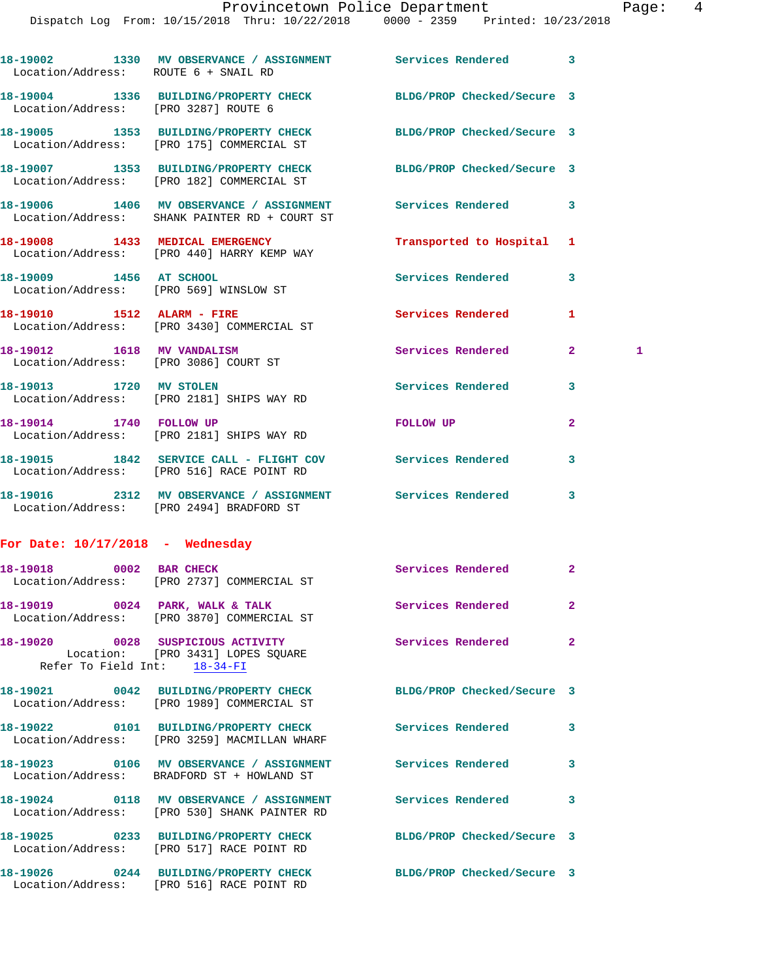Dispatch Log From: 10/15/2018 Thru: 10/22/2018 0000 - 2359 Printed: 10/23/2018

| Location/Address: ROUTE 6 + SNAIL RD | 18-19002 1330 MV OBSERVANCE / ASSIGNMENT Services Rendered                                                     |                            | 3            |   |
|--------------------------------------|----------------------------------------------------------------------------------------------------------------|----------------------------|--------------|---|
|                                      | 18-19004 1336 BUILDING/PROPERTY CHECK<br>Location/Address: [PRO 3287] ROUTE 6                                  | BLDG/PROP Checked/Secure 3 |              |   |
|                                      | 18-19005 1353 BUILDING/PROPERTY CHECK<br>Location/Address: [PRO 175] COMMERCIAL ST                             | BLDG/PROP Checked/Secure 3 |              |   |
|                                      | 18-19007 1353 BUILDING/PROPERTY CHECK<br>Location/Address: [PRO 182] COMMERCIAL ST                             | BLDG/PROP Checked/Secure 3 |              |   |
|                                      | 18-19006 1406 MV OBSERVANCE / ASSIGNMENT<br>Location/Address: SHANK PAINTER RD + COURT ST                      | Services Rendered          | 3            |   |
|                                      | 18-19008 1433 MEDICAL EMERGENCY<br>Location/Address: [PRO 440] HARRY KEMP WAY                                  | Transported to Hospital 1  |              |   |
|                                      | 18-19009 1456 AT SCHOOL<br>Location/Address: [PRO 569] WINSLOW ST                                              | Services Rendered          | 3            |   |
|                                      | 18-19010 1512 ALARM - FIRE<br>Location/Address: [PRO 3430] COMMERCIAL ST                                       | Services Rendered          | 1            |   |
| 18-19012 1618 MV VANDALISM           | Location/Address: [PRO 3086] COURT ST                                                                          | Services Rendered          | $\mathbf{2}$ | 1 |
|                                      | 18-19013 1720 MV STOLEN<br>Location/Address: [PRO 2181] SHIPS WAY RD                                           | <b>Services Rendered</b>   | 3            |   |
| 18-19014 1740 FOLLOW UP              | Location/Address: [PRO 2181] SHIPS WAY RD                                                                      | FOLLOW UP                  | 2            |   |
|                                      | 18-19015 1842 SERVICE CALL - FLIGHT COV Services Rendered<br>Location/Address: [PRO 516] RACE POINT RD         |                            | 3            |   |
|                                      | 18-19016 2312 MV OBSERVANCE / ASSIGNMENT Services Rendered<br>Location/Address: [PRO 2494] BRADFORD ST         |                            | 3            |   |
| For Date: $10/17/2018$ - Wednesday   |                                                                                                                |                            |              |   |
| 18-19018 0002 BAR CHECK              | Location/Address: [PRO 2737] COMMERCIAL ST                                                                     | Services Rendered          | $\mathbf{2}$ |   |
| 18-19019                             | 0024 PARK, WALK & TALK<br>Location/Address: [PRO 3870] COMMERCIAL ST                                           | Services Rendered          | 2            |   |
| Refer To Field Int: 18-34-FI         | 18-19020 0028 SUSPICIOUS ACTIVITY<br>Location: [PRO 3431] LOPES SQUARE                                         | Services Rendered          | 2            |   |
|                                      | 18-19021 0042 BUILDING/PROPERTY CHECK BLDG/PROP Checked/Secure 3<br>Location/Address: [PRO 1989] COMMERCIAL ST |                            |              |   |
|                                      | 18-19022 0101 BUILDING/PROPERTY CHECK Services Rendered<br>Location/Address: [PRO 3259] MACMILLAN WHARF        |                            | 3            |   |
|                                      | 18-19023 0106 MV OBSERVANCE / ASSIGNMENT Services Rendered<br>Location/Address: BRADFORD ST + HOWLAND ST       |                            | 3            |   |
|                                      | 18-19024 0118 MV OBSERVANCE / ASSIGNMENT Services Rendered<br>Location/Address: [PRO 530] SHANK PAINTER RD     |                            | 3            |   |
|                                      | 18-19025 0233 BUILDING/PROPERTY CHECK<br>Location/Address: [PRO 517] RACE POINT RD                             | BLDG/PROP Checked/Secure 3 |              |   |
|                                      | 18-19026 0244 BUILDING/PROPERTY CHECK BLDG/PROP Checked/Secure 3<br>Location/Address: [PRO 516] RACE POINT RD  |                            |              |   |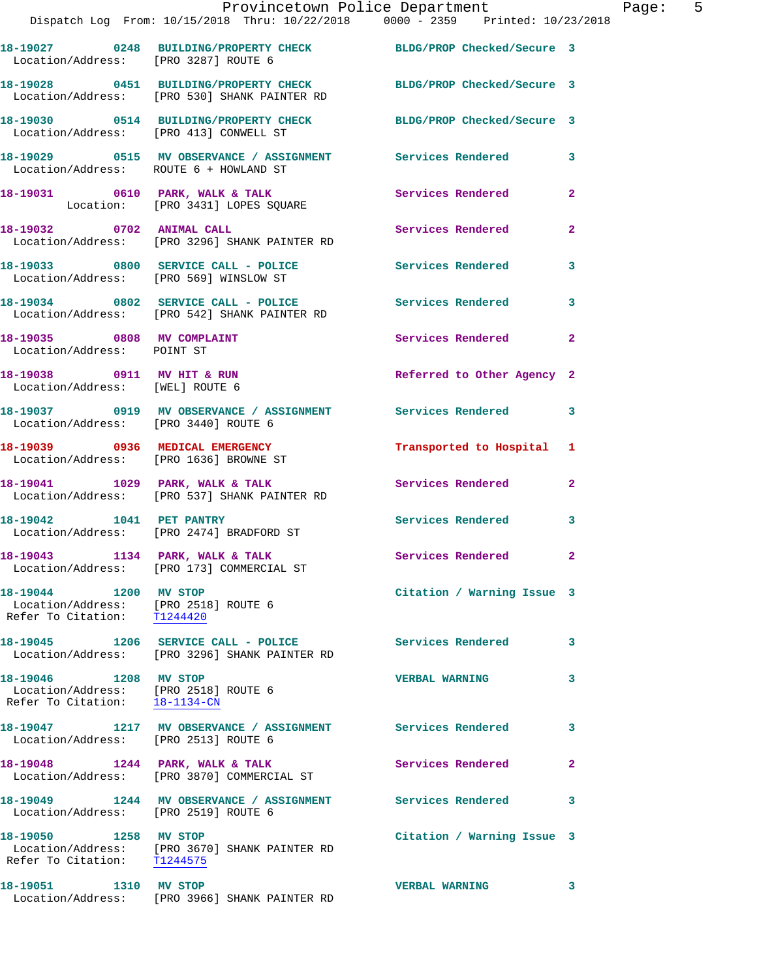|                                                                                                | Provincetown Police Department<br>Dispatch Log From: 10/15/2018 Thru: 10/22/2018 0000 - 2359 Printed: 10/23/2018    |                            |              |
|------------------------------------------------------------------------------------------------|---------------------------------------------------------------------------------------------------------------------|----------------------------|--------------|
| Location/Address: [PRO 3287] ROUTE 6                                                           | 18-19027 0248 BUILDING/PROPERTY CHECK BLDG/PROP Checked/Secure 3                                                    |                            |              |
|                                                                                                | 18-19028  0451  BUILDING/PROPERTY CHECK  BLDG/PROP Checked/Secure 3<br>Location/Address: [PRO 530] SHANK PAINTER RD |                            |              |
| Location/Address: [PRO 413] CONWELL ST                                                         | 18-19030 0514 BUILDING/PROPERTY CHECK BLDG/PROP Checked/Secure 3                                                    |                            |              |
| Location/Address: ROUTE 6 + HOWLAND ST                                                         | 18-19029 0515 MV OBSERVANCE / ASSIGNMENT Services Rendered                                                          |                            | 3            |
|                                                                                                | 18-19031 0610 PARK, WALK & TALK 3 Services Rendered<br>Location: [PRO 3431] LOPES SQUARE                            |                            | $\mathbf{2}$ |
| 18-19032 0702 ANIMAL CALL                                                                      | Location/Address: [PRO 3296] SHANK PAINTER RD                                                                       | <b>Services Rendered</b>   | $\mathbf{2}$ |
|                                                                                                | 18-19033 0800 SERVICE CALL - POLICE Services Rendered<br>Location/Address: [PRO 569] WINSLOW ST                     |                            | 3            |
|                                                                                                | 18-19034 0802 SERVICE CALL - POLICE Services Rendered<br>Location/Address: [PRO 542] SHANK PAINTER RD               |                            | 3            |
| 18-19035 0808 MV COMPLAINT<br>Location/Address: POINT ST                                       |                                                                                                                     | Services Rendered          | $\mathbf{2}$ |
| 18-19038 0911 MV HIT & RUN<br>Location/Address: [WEL] ROUTE 6                                  |                                                                                                                     | Referred to Other Agency 2 |              |
|                                                                                                |                                                                                                                     |                            | 3            |
|                                                                                                | 18-19039 0936 MEDICAL EMERGENCY<br>Location/Address: [PRO 1636] BROWNE ST                                           | Transported to Hospital    | 1            |
|                                                                                                | 18-19041 1029 PARK, WALK & TALK<br>Location/Address: [PRO 537] SHANK PAINTER RD                                     | <b>Services Rendered</b>   | $\mathbf{2}$ |
| 18-19042 1041 PET PANTRY                                                                       | Location/Address: [PRO 2474] BRADFORD ST                                                                            | Services Rendered          | 3            |
|                                                                                                | 18-19043 1134 PARK, WALK & TALK<br>Location/Address: [PRO 173] COMMERCIAL ST                                        | Services Rendered          | $\mathbf{2}$ |
| 18-19044 1200 MV STOP<br>Location/Address: [PRO 2518] ROUTE 6<br>Refer To Citation: T1244420   |                                                                                                                     | Citation / Warning Issue 3 |              |
|                                                                                                | 18-19045 1206 SERVICE CALL - POLICE<br>Location/Address: [PRO 3296] SHANK PAINTER RD                                | Services Rendered          | 3.           |
| 18-19046 1208 MV STOP<br>Location/Address: [PRO 2518] ROUTE 6<br>Refer To Citation: 18-1134-CN |                                                                                                                     | <b>VERBAL WARNING</b>      | 3            |
| Location/Address: [PRO 2513] ROUTE 6                                                           | 18-19047               1217    MV OBSERVANCE  /  ASSIGNMENT                Services Rendered                        |                            | 3            |
|                                                                                                | 18-19048 1244 PARK, WALK & TALK<br>Location/Address: [PRO 3870] COMMERCIAL ST                                       | <b>Services Rendered</b>   | $\mathbf{2}$ |
| Location/Address: [PRO 2519] ROUTE 6                                                           | 18-19049 1244 MV OBSERVANCE / ASSIGNMENT Services Rendered                                                          |                            | 3            |
| 18-19050 1258 MV STOP<br>Refer To Citation: T1244575                                           | Location/Address: [PRO 3670] SHANK PAINTER RD                                                                       | Citation / Warning Issue 3 |              |
| 18-19051 1310 MV STOP                                                                          |                                                                                                                     | <b>VERBAL WARNING</b>      | 3            |

Location/Address: [PRO 3966] SHANK PAINTER RD

Page: 5<br>18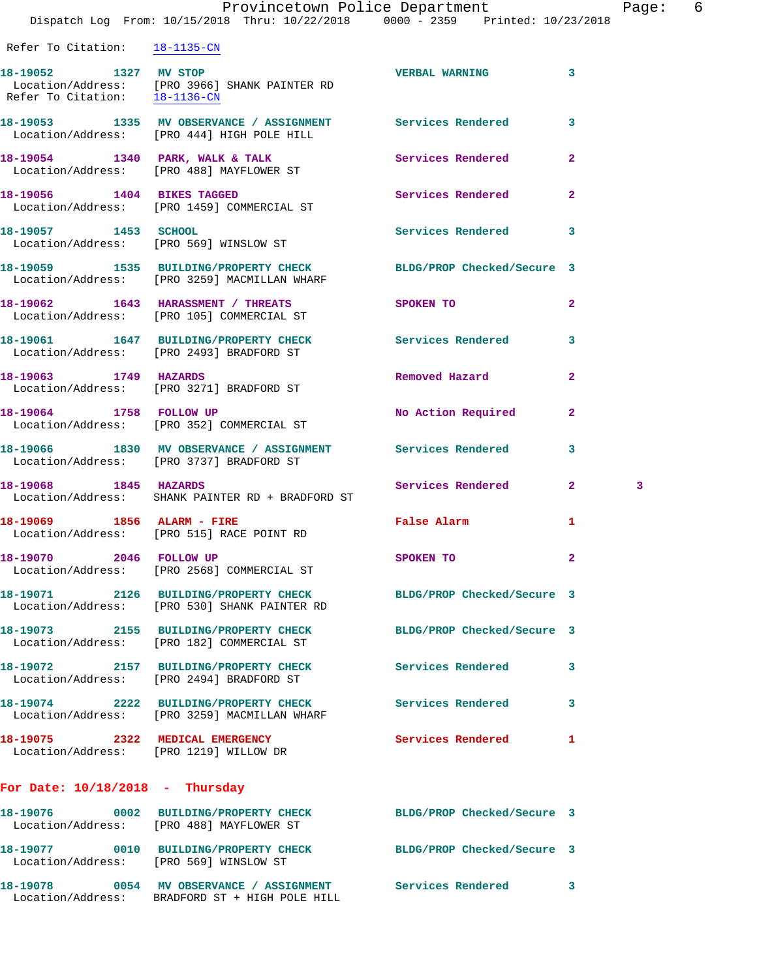18-19054 1340 PARK, WALK & TALK **Services Rendered** 2 Location/Address: [PRO 488] MAYFLOWER ST **18-19056 1404 BIKES TAGGED Services Rendered 2**  Location/Address: [PRO 1459] COMMERCIAL ST **18-19057 1453 SCHOOL Services Rendered 3**  Location/Address: [PRO 569] WINSLOW ST

**18-19059 1535 BUILDING/PROPERTY CHECK BLDG/PROP Checked/Secure 3**  Location/Address: [PRO 3259] MACMILLAN WHARF **18-19062 1643 HARASSMENT / THREATS SPOKEN TO 2** 

**18-19061 1647 BUILDING/PROPERTY CHECK Services Rendered 3**  Location/Address: [PRO 2493] BRADFORD ST

**18-19063 1749 HAZARDS Removed Hazard 2**  Location/Address: [PRO 3271] BRADFORD ST

Location/Address: [PRO 105] COMMERCIAL ST

**18-19064 1758 FOLLOW UP No Action Required 2**  Location/Address: [PRO 352] COMMERCIAL ST

**18-19066 1830 MV OBSERVANCE / ASSIGNMENT Services Rendered 3**  Location/Address: [PRO 3737] BRADFORD ST

**18-19068 1845 HAZARDS Services Rendered 2 3**  Location/Address: SHANK PAINTER RD + BRADFORD ST

**18-19069 1856 ALARM - FIRE False Alarm 1**  Location/Address: [PRO 515] RACE POINT RD

**18-19070 2046 FOLLOW UP SPOKEN TO 2**  Location/Address: [PRO 2568] COMMERCIAL ST

**18-19071 2126 BUILDING/PROPERTY CHECK BLDG/PROP Checked/Secure 3**  Location/Address: [PRO 530] SHANK PAINTER RD

**18-19073 2155 BUILDING/PROPERTY CHECK BLDG/PROP Checked/Secure 3**  Location/Address: [PRO 182] COMMERCIAL ST

**18-19072 2157 BUILDING/PROPERTY CHECK Services Rendered 3**  Location/Address: [PRO 2494] BRADFORD ST

**18-19074 2222 BUILDING/PROPERTY CHECK Services Rendered 3**  Location/Address: [PRO 3259] MACMILLAN WHARF

Location/Address: BRADFORD ST + HIGH POLE HILL

**18-19075 2322 MEDICAL EMERGENCY Services Rendered 1**  Location/Address: [PRO 1219] WILLOW DR

## **For Date: 10/18/2018 - Thursday**

| 18-19076<br>Location/Address: | 0002 | <b>BUILDING/PROPERTY CHECK</b><br>[PRO 488] MAYFLOWER ST | BLDG/PROP Checked/Secure 3 |  |
|-------------------------------|------|----------------------------------------------------------|----------------------------|--|
| 18-19077<br>Location/Address: | 0010 | <b>BUILDING/PROPERTY CHECK</b><br>FPRO 5691 WINSLOW ST   | BLDG/PROP Checked/Secure 3 |  |
| 18-19078                      | 0054 | MV OBSERVANCE / ASSIGNMENT                               | Services Rendered          |  |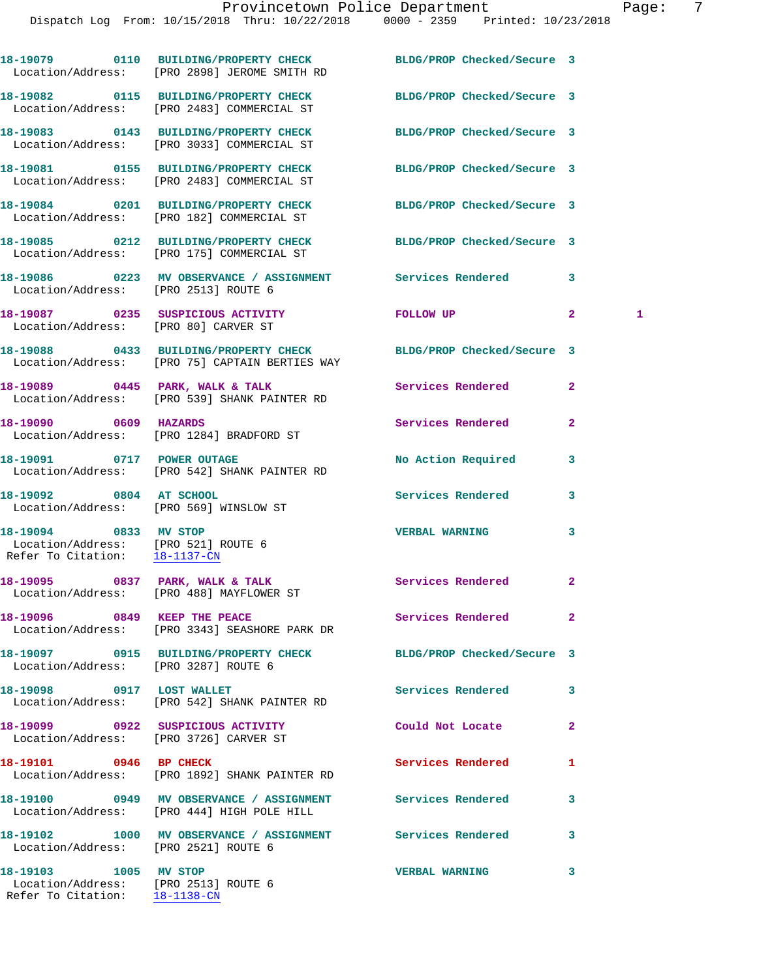|                                                                                                | 18-19079 0110 BUILDING/PROPERTY CHECK BLDG/PROP Checked/Secure 3<br>Location/Address: [PRO 2898] JEROME SMITH RD   |                            |                   |
|------------------------------------------------------------------------------------------------|--------------------------------------------------------------------------------------------------------------------|----------------------------|-------------------|
|                                                                                                | 18-19082 0115 BUILDING/PROPERTY CHECK BLDG/PROP Checked/Secure 3<br>Location/Address: [PRO 2483] COMMERCIAL ST     |                            |                   |
|                                                                                                | 18-19083 0143 BUILDING/PROPERTY CHECK BLDG/PROP Checked/Secure 3<br>Location/Address: [PRO 3033] COMMERCIAL ST     |                            |                   |
|                                                                                                | 18-19081 0155 BUILDING/PROPERTY CHECK<br>Location/Address: [PRO 2483] COMMERCIAL ST                                | BLDG/PROP Checked/Secure 3 |                   |
|                                                                                                | 18-19084 0201 BUILDING/PROPERTY CHECK BLDG/PROP Checked/Secure 3<br>Location/Address: [PRO 182] COMMERCIAL ST      |                            |                   |
|                                                                                                | 18-19085 0212 BUILDING/PROPERTY CHECK BLDG/PROP Checked/Secure 3<br>Location/Address: [PRO 175] COMMERCIAL ST      |                            |                   |
| Location/Address: [PRO 2513] ROUTE 6                                                           | 18-19086 0223 MV OBSERVANCE / ASSIGNMENT Services Rendered                                                         |                            | 3                 |
| Location/Address: [PRO 80] CARVER ST                                                           | 18-19087  0235  SUSPICIOUS ACTIVITY                                                                                | FOLLOW UP                  | $\mathbf{2}$<br>1 |
|                                                                                                | 18-19088 0433 BUILDING/PROPERTY CHECK BLDG/PROP Checked/Secure 3<br>Location/Address: [PRO 75] CAPTAIN BERTIES WAY |                            |                   |
|                                                                                                | 18-19089 0445 PARK, WALK & TALK<br>Location/Address: [PRO 539] SHANK PAINTER RD                                    | Services Rendered          | $\mathbf{2}$      |
| 18-19090 0609 HAZARDS                                                                          | Location/Address: [PRO 1284] BRADFORD ST                                                                           | Services Rendered          | $\mathbf{2}$      |
|                                                                                                | 18-19091 0717 POWER OUTAGE<br>Location/Address: [PRO 542] SHANK PAINTER RD                                         | <b>No Action Required</b>  | 3                 |
| 18-19092 0804 AT SCHOOL                                                                        | Location/Address: [PRO 569] WINSLOW ST                                                                             | <b>Services Rendered</b>   | 3                 |
| 18-19094 0833 MV STOP<br>Location/Address: [PRO 521] ROUTE 6<br>Refer To Citation: 18-1137-CN  |                                                                                                                    | <b>VERBAL WARNING</b>      | 3                 |
|                                                                                                | 18-19095 0837 PARK, WALK & TALK<br>Location/Address: [PRO 488] MAYFLOWER ST                                        | Services Rendered          | 2                 |
| 18-19096 0849 KEEP THE PEACE                                                                   | Location/Address: [PRO 3343] SEASHORE PARK DR                                                                      | Services Rendered          | $\mathbf{2}$      |
| Location/Address: [PRO 3287] ROUTE 6                                                           | 18-19097 0915 BUILDING/PROPERTY CHECK BLDG/PROP Checked/Secure 3                                                   |                            |                   |
| 18-19098 0917 LOST WALLET                                                                      | Location/Address: [PRO 542] SHANK PAINTER RD                                                                       | Services Rendered          | 3                 |
| Location/Address: [PRO 3726] CARVER ST                                                         | 18-19099 0922 SUSPICIOUS ACTIVITY                                                                                  | Could Not Locate           | $\mathbf{2}$      |
| 18-19101 0946 BP CHECK                                                                         | Location/Address: [PRO 1892] SHANK PAINTER RD                                                                      | Services Rendered          | 1                 |
|                                                                                                | 18-19100 0949 MV OBSERVANCE / ASSIGNMENT Services Rendered<br>Location/Address: [PRO 444] HIGH POLE HILL           |                            | 3                 |
| Location/Address: [PRO 2521] ROUTE 6                                                           | 18-19102 1000 MV OBSERVANCE / ASSIGNMENT Services Rendered                                                         |                            | 3                 |
| 18-19103 1005 MV STOP<br>Location/Address: [PRO 2513] ROUTE 6<br>Refer To Citation: 18-1138-CN |                                                                                                                    | <b>VERBAL WARNING</b>      | 3                 |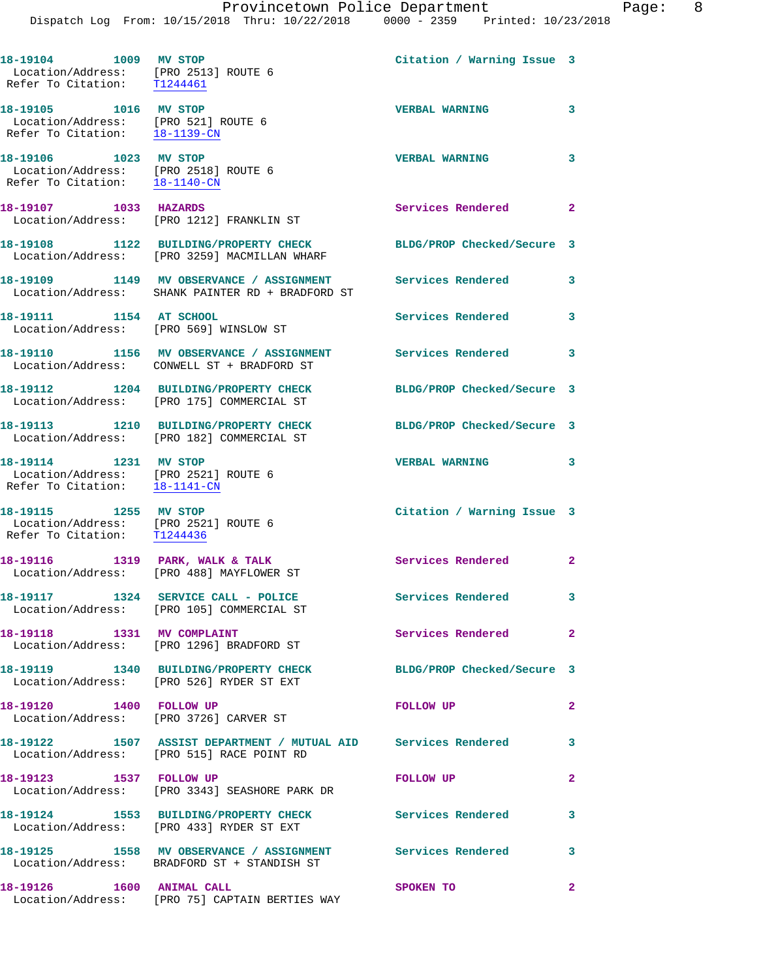**18-19104 1009 MV STOP Citation / Warning Issue 3**  Location/Address: [PRO 2513] ROUTE 6 Refer To Citation: T1244461 **18-19105 1016 MV STOP VERBAL WARNING 3**  Location/Address: [PRO 521] ROUTE 6 Refer To Citation: 18-1139-CN **18-19106 1023 MV STOP VERBAL WARNING 3**  Location/Address: [PRO 2518] ROUTE 6 Refer To Citation: 18-1140-CN **18-19107 1033 HAZARDS Services Rendered 2**  Location/Address: [PRO 1212] FRANKLIN ST **18-19108 1122 BUILDING/PROPERTY CHECK BLDG/PROP Checked/Secure 3**  Location/Address: [PRO 3259] MACMILLAN WHARF **18-19109 1149 MV OBSERVANCE / ASSIGNMENT Services Rendered 3**  Location/Address: SHANK PAINTER RD + BRADFORD ST **18-19111 1154 AT SCHOOL Services Rendered 3**  Location/Address: [PRO 569] WINSLOW ST **18-19110 1156 MV OBSERVANCE / ASSIGNMENT Services Rendered 3**  Location/Address: CONWELL ST + BRADFORD ST **18-19112 1204 BUILDING/PROPERTY CHECK BLDG/PROP Checked/Secure 3**  Location/Address: [PRO 175] COMMERCIAL ST **18-19113 1210 BUILDING/PROPERTY CHECK BLDG/PROP Checked/Secure 3**  Location/Address: [PRO 182] COMMERCIAL ST **18-19114 1231 MV STOP VERBAL WARNING 3**  Location/Address: [PRO 2521] ROUTE 6 Refer To Citation: 18-1141-CN **18-19115 1255 MV STOP Citation / Warning Issue 3**  Location/Address: [PRO 2521] ROUTE 6 Refer To Citation: T1244436 18-19116 1319 PARK, WALK & TALK **Services Rendered** 2 Location/Address: [PRO 488] MAYFLOWER ST **18-19117 1324 SERVICE CALL - POLICE Services Rendered 3**  Location/Address: [PRO 105] COMMERCIAL ST 18-19118 1331 MV COMPLAINT **18-19118** Services Rendered 2 Location/Address: [PRO 1296] BRADFORD ST **18-19119 1340 BUILDING/PROPERTY CHECK BLDG/PROP Checked/Secure 3**  Location/Address: [PRO 526] RYDER ST EXT **18-19120 1400 FOLLOW UP FOLLOW UP 2**  Location/Address: [PRO 3726] CARVER ST **18-19122 1507 ASSIST DEPARTMENT / MUTUAL AID Services Rendered 3**  Location/Address: [PRO 515] RACE POINT RD **18-19123 1537 FOLLOW UP FOLLOW UP 2**  Location/Address: [PRO 3343] SEASHORE PARK DR **18-19124 1553 BUILDING/PROPERTY CHECK Services Rendered 3**  Location/Address: [PRO 433] RYDER ST EXT **18-19125 1558 MV OBSERVANCE / ASSIGNMENT Services Rendered 3**  Location/Address: BRADFORD ST + STANDISH ST **18-19126 1600 ANIMAL CALL SPOKEN TO 2**  Location/Address: [PRO 75] CAPTAIN BERTIES WAY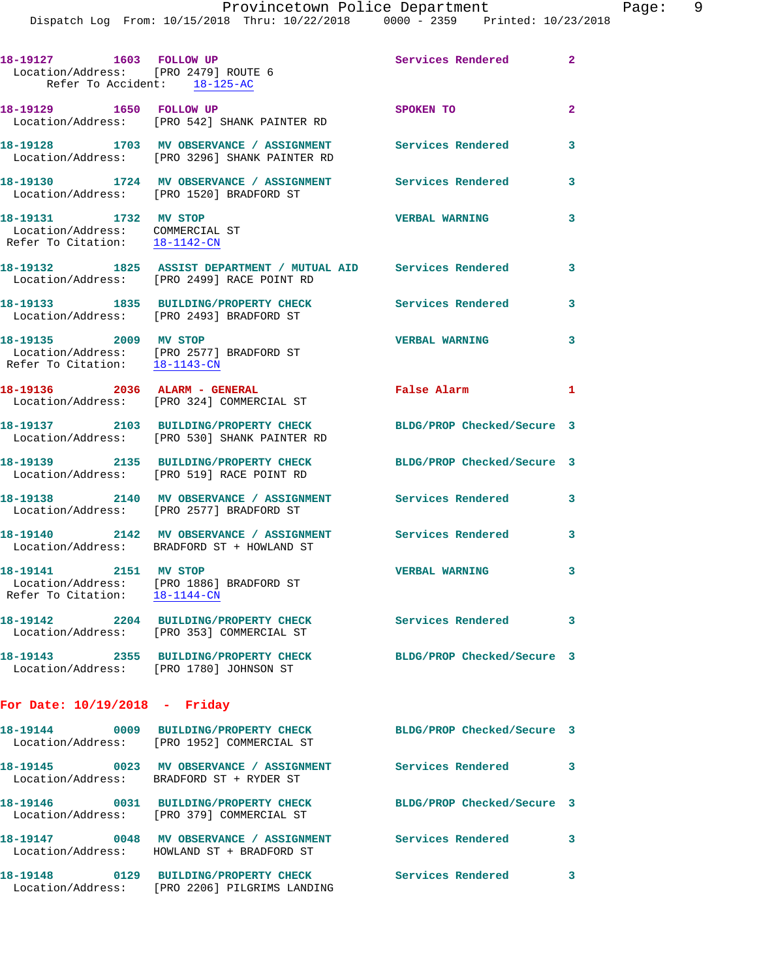| 18-19127 1603 FOLLOW UP<br>Location/Address: [PRO 2479] ROUTE 6                           | Refer To Accident: 18-125-AC                                                                                 | <b>Services Rendered</b>   | $\mathbf{2}$   |
|-------------------------------------------------------------------------------------------|--------------------------------------------------------------------------------------------------------------|----------------------------|----------------|
| 18-19129   1650   FOLLOW UP                                                               | Location/Address: [PRO 542] SHANK PAINTER RD                                                                 | SPOKEN TO                  | $\overline{2}$ |
|                                                                                           | 18-19128 1703 MV OBSERVANCE / ASSIGNMENT<br>Location/Address: [PRO 3296] SHANK PAINTER RD                    | <b>Services Rendered</b>   | 3              |
|                                                                                           | 18-19130 1724 MV OBSERVANCE / ASSIGNMENT<br>Location/Address: [PRO 1520] BRADFORD ST                         | Services Rendered          | 3              |
| 18-19131 1732 MV STOP<br>Location/Address: COMMERCIAL ST<br>Refer To Citation: 18-1142-CN |                                                                                                              | <b>VERBAL WARNING</b>      | 3              |
|                                                                                           | 18-19132 1825 ASSIST DEPARTMENT / MUTUAL AID Services Rendered<br>Location/Address: [PRO 2499] RACE POINT RD |                            | 3              |
|                                                                                           | 18-19133 1835 BUILDING/PROPERTY CHECK<br>Location/Address: [PRO 2493] BRADFORD ST                            | Services Rendered          | 3              |
| 18-19135 2009 MV STOP                                                                     | Location/Address: [PRO 2577] BRADFORD ST<br>Refer To Citation: 18-1143-CN                                    | <b>VERBAL WARNING</b>      | 3              |
| 18-19136  2036  ALARM - GENERAL                                                           | Location/Address: [PRO 324] COMMERCIAL ST                                                                    | <b>False Alarm</b>         | $\mathbf{1}$   |
|                                                                                           | 18-19137 2103 BUILDING/PROPERTY CHECK<br>Location/Address: [PRO 530] SHANK PAINTER RD                        | BLDG/PROP Checked/Secure 3 |                |
|                                                                                           | 18-19139 2135 BUILDING/PROPERTY CHECK<br>Location/Address: [PRO 519] RACE POINT RD                           | BLDG/PROP Checked/Secure 3 |                |
|                                                                                           | 18-19138 2140 MV OBSERVANCE / ASSIGNMENT<br>Location/Address: [PRO 2577] BRADFORD ST                         | Services Rendered          | 3              |
|                                                                                           | 18-19140 2142 MV OBSERVANCE / ASSIGNMENT<br>Location/Address: BRADFORD ST + HOWLAND ST                       | Services Rendered          | 3              |
| 18-19141<br>2151 MV STOP<br>Refer To Citation: 18-1144-CN                                 | Location/Address: [PRO 1886] BRADFORD ST                                                                     | <b>VERBAL WARNING</b>      | 3              |
|                                                                                           | 18-19142 2204 BUILDING/PROPERTY CHECK<br>Location/Address: [PRO 353] COMMERCIAL ST                           | Services Rendered 3        |                |
|                                                                                           | 18-19143 2355 BUILDING/PROPERTY CHECK<br>Location/Address: [PRO 1780] JOHNSON ST                             | BLDG/PROP Checked/Secure 3 |                |
| For Date: $10/19/2018$ - Friday                                                           |                                                                                                              |                            |                |
|                                                                                           | 18-19144 0009 BUILDING/PROPERTY CHECK<br>Location/Address: [PRO 1952] COMMERCIAL ST                          | BLDG/PROP Checked/Secure 3 |                |
|                                                                                           | 18-19145 0023 MV OBSERVANCE / ASSIGNMENT<br>Location/Address: BRADFORD ST + RYDER ST                         | Services Rendered          | 3              |
|                                                                                           | 18-19146 0031 BUILDING/PROPERTY CHECK<br>Location/Address: [PRO 379] COMMERCIAL ST                           | BLDG/PROP Checked/Secure 3 |                |
|                                                                                           | 18-19147 0048 MV OBSERVANCE / ASSIGNMENT<br>Location/Address: HOWLAND ST + BRADFORD ST                       | Services Rendered          | 3              |
|                                                                                           | 18-19148 0129 BUILDING/PROPERTY CHECK Services Rendered<br>Location/Address: [PRO 2206] PILGRIMS LANDING     |                            | 3              |
|                                                                                           |                                                                                                              |                            |                |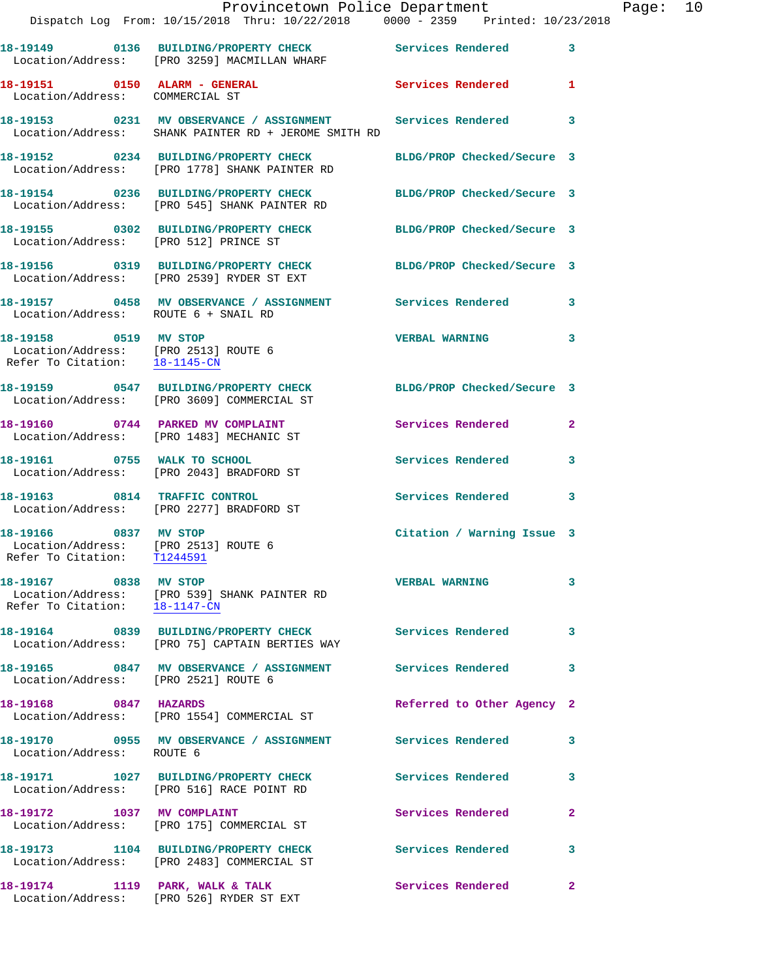|                                                                                                | Dispatch Log From: 10/15/2018 Thru: 10/22/2018 0000 - 2359 Printed: 10/23/2018                                                  | Provincetown Police Department |              | Page: 10 |  |
|------------------------------------------------------------------------------------------------|---------------------------------------------------------------------------------------------------------------------------------|--------------------------------|--------------|----------|--|
|                                                                                                | 18-19149 		 0136 BUILDING/PROPERTY CHECK Services Rendered                                                                      |                                | $\mathbf{3}$ |          |  |
|                                                                                                | Location/Address: [PRO 3259] MACMILLAN WHARF<br>18-19151 0150 ALARM - GENERAL Services Rendered                                 |                                | 1.           |          |  |
| Location/Address: COMMERCIAL ST                                                                |                                                                                                                                 |                                |              |          |  |
|                                                                                                | 18-19153     0231   MV OBSERVANCE / ASSIGNMENT      Services Rendered<br>Location/Address:   SHANK PAINTER RD + JEROME SMITH RD |                                | 3            |          |  |
|                                                                                                | 18-19152  0234  BUILDING/PROPERTY CHECK  BLDG/PROP Checked/Secure 3<br>Location/Address: [PRO 1778] SHANK PAINTER RD            |                                |              |          |  |
|                                                                                                | 18-19154 0236 BUILDING/PROPERTY CHECK BLDG/PROP Checked/Secure 3<br>Location/Address: [PRO 545] SHANK PAINTER RD                |                                |              |          |  |
| Location/Address: [PRO 512] PRINCE ST                                                          | 18-19155 0302 BUILDING/PROPERTY CHECK BLDG/PROP Checked/Secure 3                                                                |                                |              |          |  |
|                                                                                                | 18-19156 0319 BUILDING/PROPERTY CHECK BLDG/PROP Checked/Secure 3<br>Location/Address: [PRO 2539] RYDER ST EXT                   |                                |              |          |  |
| Location/Address: ROUTE 6 + SNAIL RD                                                           | 18-19157 0458 MV OBSERVANCE / ASSIGNMENT Services Rendered 3                                                                    |                                |              |          |  |
| 18-19158 0519 MV STOP<br>Location/Address: [PRO 2513] ROUTE 6<br>Refer To Citation: 18-1145-CN |                                                                                                                                 | VERBAL WARNING 3               |              |          |  |
|                                                                                                | 18-19159 0547 BUILDING/PROPERTY CHECK BLDG/PROP Checked/Secure 3<br>Location/Address: [PRO 3609] COMMERCIAL ST                  |                                |              |          |  |
|                                                                                                | 18-19160 0744 PARKED MV COMPLAINT<br>Location/Address: [PRO 1483] MECHANIC ST                                                   | Services Rendered              | $\mathbf{2}$ |          |  |
|                                                                                                | 18-19161 0755 WALK TO SCHOOL<br>Location/Address: [PRO 2043] BRADFORD ST                                                        | Services Rendered              | 3            |          |  |
|                                                                                                | 18-19163 0814 TRAFFIC CONTROL<br>Location/Address: [PRO 2277] BRADFORD ST                                                       | <b>Services Rendered</b>       | 3            |          |  |
| 18-19166 0837 MV STOP<br>Location/Address: [PRO 2513] ROUTE 6<br>Refer To Citation:            | T1244591                                                                                                                        | Citation / Warning Issue 3     |              |          |  |
| 18-19167 0838 MV STOP                                                                          | Location/Address: [PRO 539] SHANK PAINTER RD<br>Refer To Citation: $\frac{18-1147-CN}{18-1147-CN}$                              | <b>VERBAL WARNING</b>          | 3            |          |  |
|                                                                                                |                                                                                                                                 | Services Rendered              | 3            |          |  |
| Location/Address: [PRO 2521] ROUTE 6                                                           | 18-19165 0847 MV OBSERVANCE / ASSIGNMENT Services Rendered                                                                      |                                | 3            |          |  |
| 18-19168 0847 HAZARDS                                                                          | Location/Address: [PRO 1554] COMMERCIAL ST                                                                                      | Referred to Other Agency 2     |              |          |  |
| Location/Address: ROUTE 6                                                                      | 18-19170 0955 MV OBSERVANCE / ASSIGNMENT Services Rendered                                                                      |                                | 3            |          |  |
|                                                                                                | 18-19171 1027 BUILDING/PROPERTY CHECK<br>Location/Address: [PRO 516] RACE POINT RD                                              | Services Rendered              | 3            |          |  |
|                                                                                                | 18-19172 1037 MV COMPLAINT<br>Location/Address: [PRO 175] COMMERCIAL ST                                                         | Services Rendered              | $\mathbf{2}$ |          |  |
|                                                                                                | 18-19173 1104 BUILDING/PROPERTY CHECK Services Rendered 3<br>Location/Address: [PRO 2483] COMMERCIAL ST                         |                                |              |          |  |
|                                                                                                | 18-19174 1119 PARK, WALK & TALK<br>Location/Address: [PRO 526] RYDER ST EXT                                                     | Services Rendered              | 2            |          |  |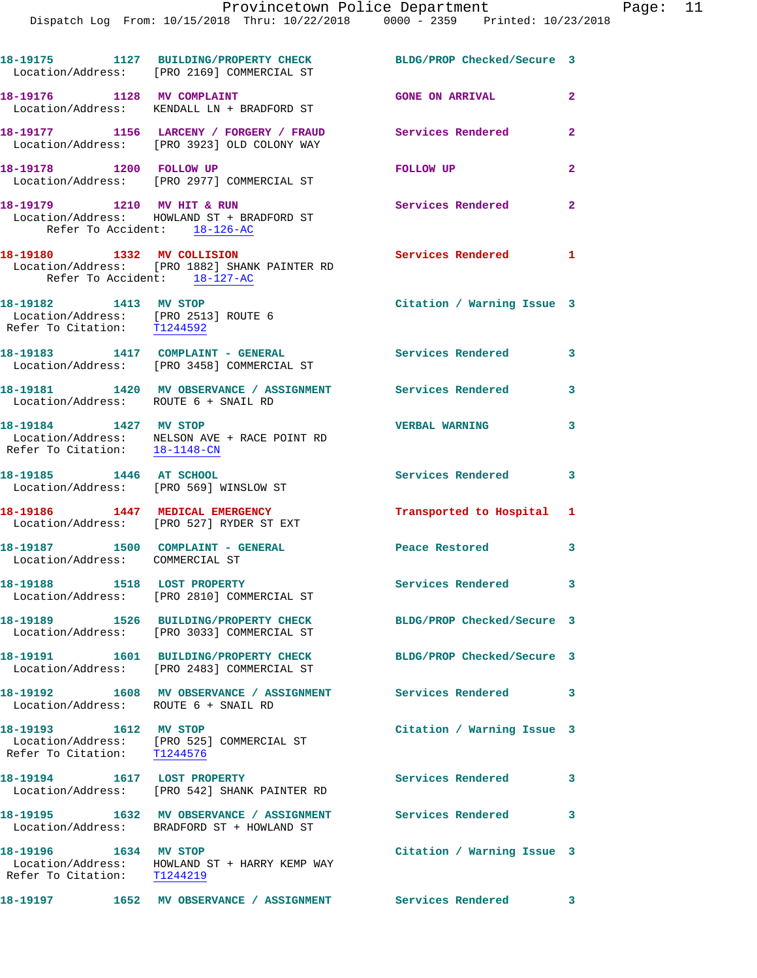|                                                                                              | 18-19175 1127 BUILDING/PROPERTY CHECK BLDG/PROP Checked/Secure 3<br>Location/Address: [PRO 2169] COMMERCIAL ST |                            |                            |
|----------------------------------------------------------------------------------------------|----------------------------------------------------------------------------------------------------------------|----------------------------|----------------------------|
| 18-19176 1128 MV COMPLAINT                                                                   | Location/Address: KENDALL LN + BRADFORD ST                                                                     | <b>GONE ON ARRIVAL</b>     | $\mathbf{2}$               |
|                                                                                              | 18-19177 1156 LARCENY / FORGERY / FRAUD<br>Location/Address: [PRO 3923] OLD COLONY WAY                         | Services Rendered          | $\overline{2}$             |
| 18-19178 1200 FOLLOW UP                                                                      | Location/Address: [PRO 2977] COMMERCIAL ST                                                                     | <b>FOLLOW UP</b>           | $\overline{2}$             |
| 18-19179 1210 MV HIT & RUN<br>Refer To Accident: 18-126-AC                                   | Location/Address: HOWLAND ST + BRADFORD ST                                                                     | Services Rendered          | $\mathbf{2}$               |
| 18-19180 1332 MV COLLISION<br>Refer To Accident: 18-127-AC                                   | Location/Address: [PRO 1882] SHANK PAINTER RD                                                                  | Services Rendered 1        |                            |
| 18-19182 1413 MV STOP<br>Location/Address: [PRO 2513] ROUTE 6<br>Refer To Citation: T1244592 |                                                                                                                | Citation / Warning Issue 3 |                            |
|                                                                                              | 18-19183 1417 COMPLAINT - GENERAL<br>Location/Address: [PRO 3458] COMMERCIAL ST                                | <b>Services Rendered</b>   | $\overline{\phantom{a}}$ 3 |
| Location/Address: ROUTE 6 + SNAIL RD                                                         | 18-19181 1420 MV OBSERVANCE / ASSIGNMENT Services Rendered                                                     |                            | 3                          |
| 18-19184 1427 MV STOP<br>Refer To Citation: 18-1148-CN                                       | Location/Address: NELSON AVE + RACE POINT RD                                                                   | <b>VERBAL WARNING</b>      | 3                          |
| 18-19185 1446 AT SCHOOL                                                                      | Location/Address: [PRO 569] WINSLOW ST                                                                         | Services Rendered 3        |                            |
|                                                                                              | 18-19186 1447 MEDICAL EMERGENCY<br>Location/Address: [PRO 527] RYDER ST EXT                                    | Transported to Hospital 1  |                            |
| 18-19187 1500 COMPLAINT - GENERAL<br>Location/Address: COMMERCIAL ST                         |                                                                                                                | Peace Restored             | 3                          |
| 18-19188 1518 LOST PROPERTY                                                                  | Location/Address: [PRO 2810] COMMERCIAL ST                                                                     | <b>Services Rendered</b>   | -3                         |
|                                                                                              | Location/Address: [PRO 3033] COMMERCIAL ST                                                                     | BLDG/PROP Checked/Secure 3 |                            |
|                                                                                              | 18-19191  1601 BUILDING/PROPERTY CHECK<br>Location/Address: [PRO 2483] COMMERCIAL ST                           | BLDG/PROP Checked/Secure 3 |                            |
| Location/Address: ROUTE 6 + SNAIL RD                                                         | 18-19192 1608 MV OBSERVANCE / ASSIGNMENT                                                                       | <b>Services Rendered</b>   | 3                          |
| 18-19193 1612 MV STOP<br>Refer To Citation: T1244576                                         | Location/Address: [PRO 525] COMMERCIAL ST                                                                      | Citation / Warning Issue 3 |                            |
| 18-19194                                                                                     | 1617 LOST PROPERTY<br>Location/Address: [PRO 542] SHANK PAINTER RD                                             | Services Rendered          | $\mathbf{3}$               |
|                                                                                              | 18-19195 1632 MV OBSERVANCE / ASSIGNMENT Services Rendered<br>Location/Address: BRADFORD ST + HOWLAND ST       |                            | 3                          |
| 18-19196 1634 MV STOP<br>Refer To Citation: T1244219                                         | Location/Address: HOWLAND ST + HARRY KEMP WAY                                                                  | Citation / Warning Issue 3 |                            |
| 18-19197                                                                                     | 1652 MV OBSERVANCE / ASSIGNMENT Services Rendered                                                              | $\sim$ 3                   |                            |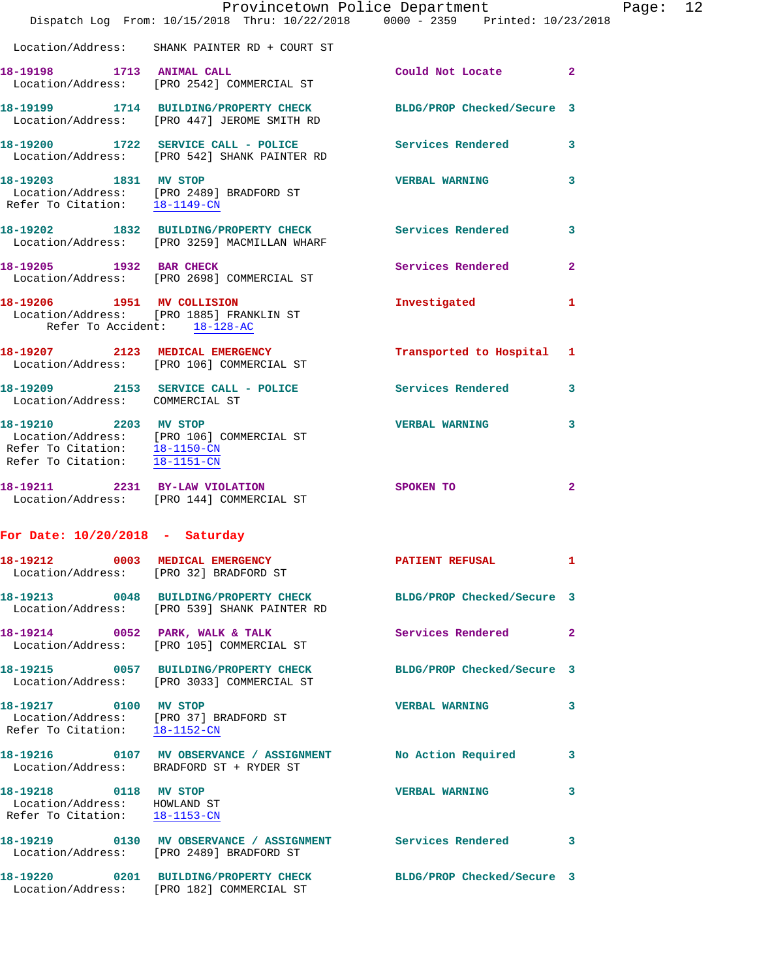|                                                                                                  | Provincetown Police Department                                                                                   |                            |                |
|--------------------------------------------------------------------------------------------------|------------------------------------------------------------------------------------------------------------------|----------------------------|----------------|
|                                                                                                  | Dispatch Log From: 10/15/2018 Thru: 10/22/2018 0000 - 2359 Printed: 10/23/2018                                   |                            |                |
|                                                                                                  | Location/Address: SHANK PAINTER RD + COURT ST                                                                    |                            |                |
| 18-19198 1713 ANIMAL CALL                                                                        | Location/Address: [PRO 2542] COMMERCIAL ST                                                                       | Could Not Locate           | $\overline{2}$ |
|                                                                                                  | 18-19199 1714 BUILDING/PROPERTY CHECK BLDG/PROP Checked/Secure 3<br>Location/Address: [PRO 447] JEROME SMITH RD  |                            |                |
|                                                                                                  | 18-19200 1722 SERVICE CALL - POLICE Services Rendered<br>Location/Address: [PRO 542] SHANK PAINTER RD            |                            | 3              |
| Refer To Citation: 18-1149-CN                                                                    | 18-19203 1831 MV STOP<br>Location/Address: [PRO 2489] BRADFORD ST                                                | <b>VERBAL WARNING</b>      | 3              |
|                                                                                                  | 18-19202 1832 BUILDING/PROPERTY CHECK Services Rendered<br>Location/Address: [PRO 3259] MACMILLAN WHARF          |                            | 3              |
| 18-19205 1932 BAR CHECK                                                                          | Location/Address: [PRO 2698] COMMERCIAL ST                                                                       | Services Rendered          | 2              |
| 18-19206 1951 MV COLLISION<br>Refer To Accident: 18-128-AC                                       | Location/Address: [PRO 1885] FRANKLIN ST                                                                         | Investigated               | 1              |
|                                                                                                  | 18-19207 2123 MEDICAL EMERGENCY<br>Location/Address: [PRO 106] COMMERCIAL ST                                     | Transported to Hospital    | 1              |
|                                                                                                  | 18-19209 2153 SERVICE CALL - POLICE Services Rendered<br>Location/Address: COMMERCIAL ST                         |                            | 3              |
| Refer To Citation: 18-1150-CN<br>Refer To Citation: 18-1151-CN                                   | 18-19210 2203 MV STOP<br>Location/Address: [PRO 106] COMMERCIAL ST                                               | <b>VERBAL WARNING</b>      | 3              |
|                                                                                                  | 18-19211 2231 BY-LAW VIOLATION<br>Location/Address: [PRO 144] COMMERCIAL ST                                      | SPOKEN TO                  | $\overline{2}$ |
| For Date: $10/20/2018$ - Saturday                                                                |                                                                                                                  |                            |                |
|                                                                                                  | 18-19212 0003 MEDICAL EMERGENCY<br>Location/Address: [PRO 32] BRADFORD ST                                        | <b>PATIENT REFUSAL</b>     | 1              |
|                                                                                                  | 18-19213 0048 BUILDING/PROPERTY CHECK BLDG/PROP Checked/Secure 3<br>Location/Address: [PRO 539] SHANK PAINTER RD |                            |                |
|                                                                                                  | 18-19214 0052 PARK, WALK & TALK<br>Location/Address: [PRO 105] COMMERCIAL ST                                     | Services Rendered          | $\overline{2}$ |
|                                                                                                  | 18-19215 0057 BUILDING/PROPERTY CHECK<br>Location/Address: [PRO 3033] COMMERCIAL ST                              | BLDG/PROP Checked/Secure 3 |                |
| 18-19217 0100 MV STOP<br>Location/Address: [PRO 37] BRADFORD ST<br>Refer To Citation: 18-1152-CN |                                                                                                                  | <b>VERBAL WARNING</b>      | 3              |
|                                                                                                  | 18-19216  0107 MV OBSERVANCE / ASSIGNMENT<br>Location/Address: BRADFORD ST + RYDER ST                            | No Action Required         | 3              |
| 18-19218 0118 MV STOP<br>Location/Address: HOWLAND ST<br>Refer To Citation: 18-1153-CN           |                                                                                                                  | <b>VERBAL WARNING</b>      | 3              |
|                                                                                                  | 18-19219 0130 MV OBSERVANCE / ASSIGNMENT Services Rendered<br>Location/Address: [PRO 2489] BRADFORD ST           |                            | 3              |
|                                                                                                  | 18-19220 0201 BUILDING/PROPERTY CHECK BLDG/PROP Checked/Secure 3<br>Location/Address: [PRO 182] COMMERCIAL ST    |                            |                |

Page: 12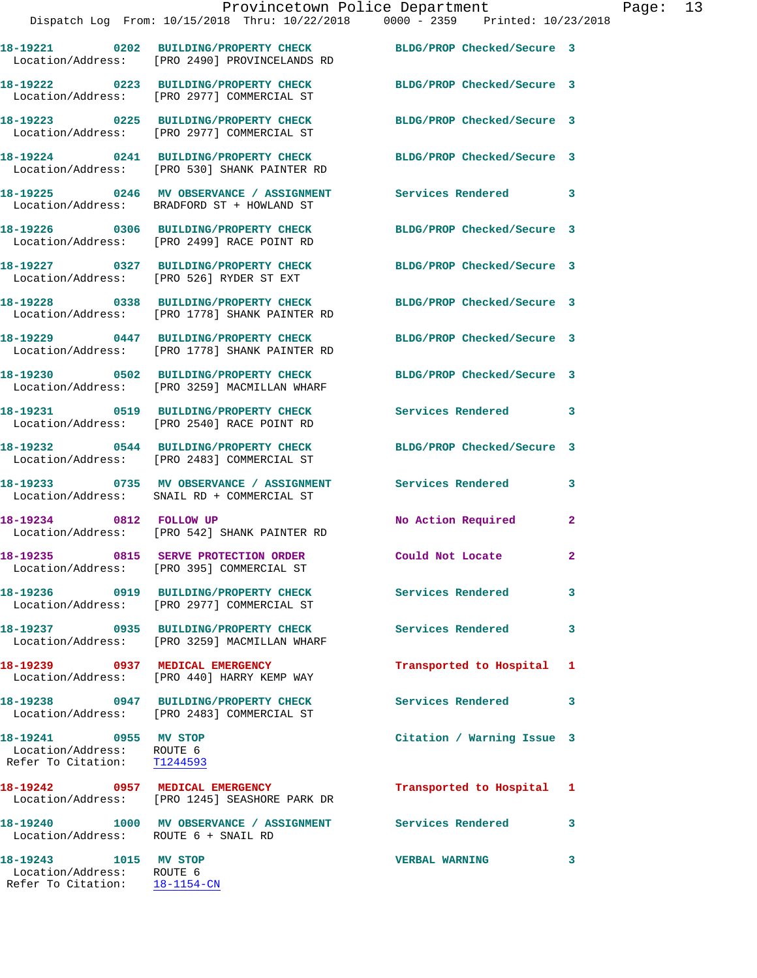|                                                                                   | Dispatch Log From: 10/15/2018 Thru: 10/22/2018 0000 - 2359 Printed: 10/23/2018                                                            |                            |                |
|-----------------------------------------------------------------------------------|-------------------------------------------------------------------------------------------------------------------------------------------|----------------------------|----------------|
|                                                                                   | 18-19221 0202 BUILDING/PROPERTY CHECK BLDG/PROP Checked/Secure 3<br>Location/Address: [PRO 2490] PROVINCELANDS RD                         |                            |                |
|                                                                                   | 18-19222 0223 BUILDING/PROPERTY CHECK BLDG/PROP Checked/Secure 3<br>Location/Address: [PRO 2977] COMMERCIAL ST                            |                            |                |
|                                                                                   | 18-19223 0225 BUILDING/PROPERTY CHECK<br>Location/Address: [PRO 2977] COMMERCIAL ST                                                       | BLDG/PROP Checked/Secure 3 |                |
|                                                                                   | 18-19224 0241 BUILDING/PROPERTY CHECK<br>Location/Address: [PRO 530] SHANK PAINTER RD                                                     | BLDG/PROP Checked/Secure 3 |                |
|                                                                                   | 18-19225 0246 MV OBSERVANCE / ASSIGNMENT Services Rendered 3<br>Location/Address: BRADFORD ST + HOWLAND ST                                |                            |                |
|                                                                                   | 18-19226 0306 BUILDING/PROPERTY CHECK<br>Location/Address: [PRO 2499] RACE POINT RD                                                       | BLDG/PROP Checked/Secure 3 |                |
|                                                                                   | 18-19227 0327 BUILDING/PROPERTY CHECK<br>Location/Address: [PRO 526] RYDER ST EXT                                                         | BLDG/PROP Checked/Secure 3 |                |
|                                                                                   | 18-19228 0338 BUILDING/PROPERTY CHECK<br>Location/Address: [PRO 1778] SHANK PAINTER RD                                                    | BLDG/PROP Checked/Secure 3 |                |
|                                                                                   | 18-19229 0447 BUILDING/PROPERTY CHECK BLDG/PROP Checked/Secure 3<br>Location/Address: [PRO 1778] SHANK PAINTER RD                         |                            |                |
|                                                                                   | 18-19230 0502 BUILDING/PROPERTY CHECK BLDG/PROP Checked/Secure 3<br>Location/Address: [PRO 3259] MACMILLAN WHARF                          |                            |                |
|                                                                                   | 18-19231 0519 BUILDING/PROPERTY CHECK Services Rendered 3<br>Location/Address: [PRO 2540] RACE POINT RD                                   |                            |                |
|                                                                                   | 18-19232 0544 BUILDING/PROPERTY CHECK<br>Location/Address: [PRO 2483] COMMERCIAL ST                                                       | BLDG/PROP Checked/Secure 3 |                |
|                                                                                   | 18-19233 6735 MV OBSERVANCE / ASSIGNMENT Services Rendered<br>Location/Address: SNAIL RD + COMMERCIAL ST                                  |                            | 3              |
|                                                                                   | 18-19234 0812 FOLLOW UP<br>Location/Address: [PRO 542] SHANK PAINTER RD                                                                   | No Action Required         | $\mathbf{2}$   |
|                                                                                   | 18-19235 0815 SERVE PROTECTION ORDER Could Not Locate<br>Location/Address: [PRO 395] COMMERCIAL ST                                        |                            | $\overline{2}$ |
|                                                                                   | 18-19236 0919 BUILDING/PROPERTY CHECK<br>Location/Address: [PRO 2977] COMMERCIAL ST                                                       | Services Rendered          | 3              |
|                                                                                   | 18-19237 0935 BUILDING/PROPERTY CHECK<br>Location/Address: [PRO 3259] MACMILLAN WHARF                                                     | Services Rendered          | 3              |
|                                                                                   | 18-19239 0937 MEDICAL EMERGENCY<br>Location/Address: [PRO 440] HARRY KEMP WAY                                                             | Transported to Hospital 1  |                |
|                                                                                   | 18-19238 0947 BUILDING/PROPERTY CHECK<br>Location/Address: [PRO 2483] COMMERCIAL ST                                                       | Services Rendered          | 3              |
| 18-19241 0955 MV STOP<br>Location/Address: ROUTE 6<br>Refer To Citation: T1244593 |                                                                                                                                           | Citation / Warning Issue 3 |                |
|                                                                                   | 18-19242 0957 MEDICAL EMERGENCY<br>Location/Address: [PRO 1245] SEASHORE PARK DR                                                          | Transported to Hospital 1  |                |
|                                                                                   | 18-19240                1000     MV  OBSERVANCE  /  ASSIGNMENT                 Services  Rendered<br>Location/Address: ROUTE 6 + SNAIL RD |                            | 3              |
|                                                                                   |                                                                                                                                           |                            |                |

Provincetown Police Department Page: 13

**18-19243 1015 MV STOP VERBAL WARNING 3**  Location/Address: ROUTE 6 Refer To Citation: 18-1154-CN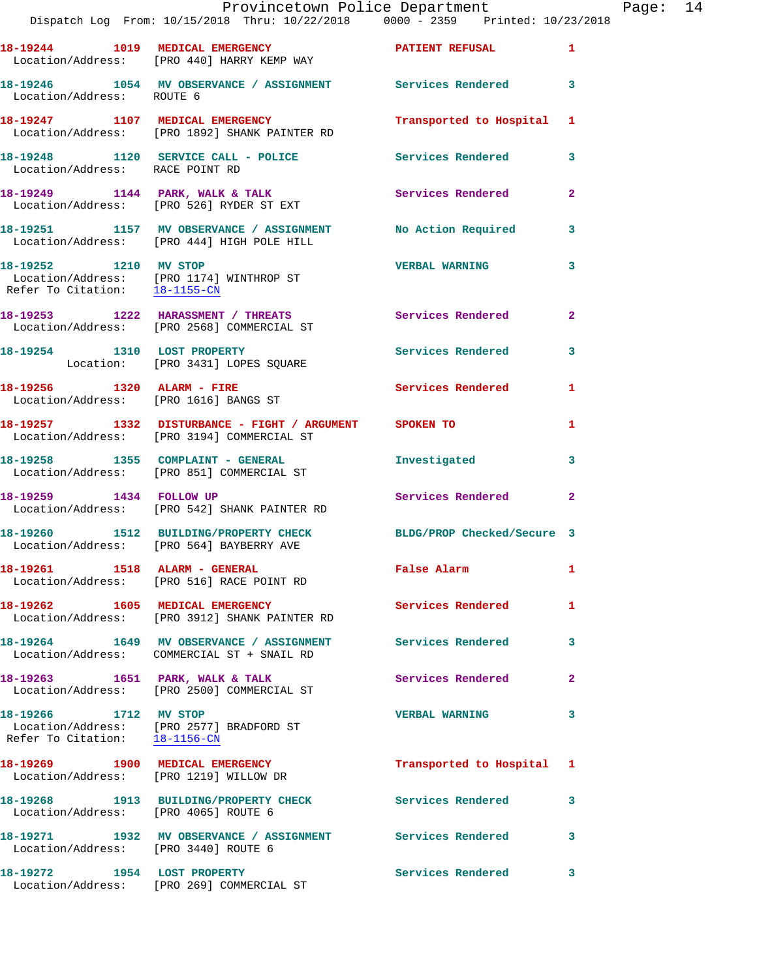|                                                                           | Provincetown Police Department<br>Dispatch Log From: 10/15/2018 Thru: 10/22/2018 0000 - 2359 Printed: 10/23/2018 |                            |                |
|---------------------------------------------------------------------------|------------------------------------------------------------------------------------------------------------------|----------------------------|----------------|
|                                                                           | 18-19244 1019 MEDICAL EMERGENCY<br>Location/Address: [PRO 440] HARRY KEMP WAY                                    | PATIENT REFUSAL            | 1              |
| Location/Address: ROUTE 6                                                 | 18-19246 1054 MV OBSERVANCE / ASSIGNMENT Services Rendered                                                       |                            | 3              |
|                                                                           | 18-19247 1107 MEDICAL EMERGENCY<br>Location/Address: [PRO 1892] SHANK PAINTER RD                                 | Transported to Hospital    | 1              |
| Location/Address: RACE POINT RD                                           | 18-19248 1120 SERVICE CALL - POLICE Services Rendered                                                            |                            | 3              |
|                                                                           | 18-19249 1144 PARK, WALK & TALK<br>Location/Address: [PRO 526] RYDER ST EXT                                      | <b>Services Rendered</b>   | $\overline{a}$ |
|                                                                           | 18-19251 1157 MV OBSERVANCE / ASSIGNMENT No Action Required<br>Location/Address: [PRO 444] HIGH POLE HILL        |                            | 3              |
| 18-19252 1210 MV STOP                                                     | Location/Address: [PRO 1174] WINTHROP ST<br>Refer To Citation: 18-1155-CN                                        | <b>VERBAL WARNING</b>      | 3              |
|                                                                           | 18-19253 1222 HARASSMENT / THREATS<br>Location/Address: [PRO 2568] COMMERCIAL ST                                 | <b>Services Rendered</b>   | $\mathbf{2}$   |
| 18-19254 1310 LOST PROPERTY                                               | Location: [PRO 3431] LOPES SQUARE                                                                                | <b>Services Rendered</b>   | 3              |
| 18-19256 1320 ALARM - FIRE<br>Location/Address: [PRO 1616] BANGS ST       |                                                                                                                  | Services Rendered          | 1              |
|                                                                           | 18-19257 1332 DISTURBANCE - FIGHT / ARGUMENT SPOKEN TO<br>Location/Address: [PRO 3194] COMMERCIAL ST             |                            | 1              |
|                                                                           | 18-19258 1355 COMPLAINT - GENERAL<br>Location/Address: [PRO 851] COMMERCIAL ST                                   | Investigated               | 3              |
| 18-19259 1434 FOLLOW UP                                                   | Location/Address: [PRO 542] SHANK PAINTER RD                                                                     | Services Rendered          | $\mathbf{2}$   |
|                                                                           | 18-19260 1512 BUILDING/PROPERTY CHECK<br>Location/Address: [PRO 564] BAYBERRY AVE                                | BLDG/PROP Checked/Secure 3 |                |
|                                                                           | 18-19261 1518 ALARM - GENERAL<br>Location/Address: [PRO 516] RACE POINT RD                                       | False Alarm                | 1              |
|                                                                           | 18-19262 1605 MEDICAL EMERGENCY<br>Location/Address: [PRO 3912] SHANK PAINTER RD                                 | <b>Services Rendered</b>   | 1              |
|                                                                           | 18-19264 1649 MV OBSERVANCE / ASSIGNMENT Services Rendered<br>Location/Address: COMMERCIAL ST + SNAIL RD         |                            | 3              |
|                                                                           | 18-19263 1651 PARK, WALK & TALK<br>Location/Address: [PRO 2500] COMMERCIAL ST                                    | Services Rendered          | $\mathbf{2}$   |
| 18-19266 1712 MV STOP<br>Refer To Citation: 18-1156-CN                    | Location/Address: [PRO 2577] BRADFORD ST                                                                         | <b>VERBAL WARNING</b>      | 3              |
| 18-19269 1900 MEDICAL EMERGENCY<br>Location/Address: [PRO 1219] WILLOW DR |                                                                                                                  | Transported to Hospital    | 1              |
| Location/Address: [PRO 4065] ROUTE 6                                      | 18-19268 1913 BUILDING/PROPERTY CHECK                                                                            | <b>Services Rendered</b>   | 3              |
| Location/Address: [PRO 3440] ROUTE 6                                      | 18-19271 1932 MV OBSERVANCE / ASSIGNMENT Services Rendered                                                       |                            | 3              |
| 18-19272 1954 LOST PROPERTY                                               |                                                                                                                  | <b>Services Rendered</b>   | 3              |

Location/Address: [PRO 269] COMMERCIAL ST

Page: 14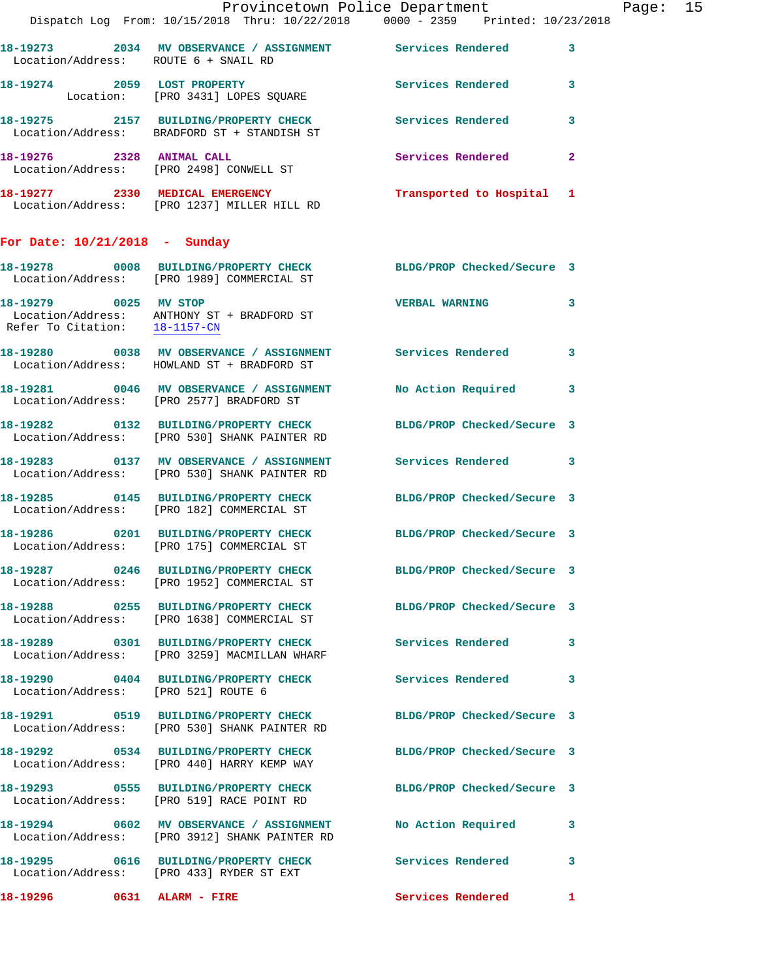|                                      | Dispatch Log From: 10/15/2018 Thru: 10/22/2018 0000 - 2359 Printed: 10/23/2018                                    | Provincetown Police Department | Page: 15     |
|--------------------------------------|-------------------------------------------------------------------------------------------------------------------|--------------------------------|--------------|
| Location/Address: ROUTE 6 + SNAIL RD | 18-19273 2034 MV OBSERVANCE / ASSIGNMENT Services Rendered 3                                                      |                                |              |
|                                      | 18-19274 2059 LOST PROPERTY<br>Location: [PRO 3431] LOPES SQUARE                                                  | Services Rendered 3            |              |
|                                      | 18-19275 2157 BUILDING/PROPERTY CHECK Services Rendered<br>Location/Address: BRADFORD ST + STANDISH ST            |                                | 3            |
|                                      | 18-19276 2328 ANIMAL CALL<br>Location/Address: [PRO 2498] CONWELL ST                                              | Services Rendered              | $\mathbf{2}$ |
|                                      | 18-19277 2330 MEDICAL EMERGENCY<br>Location/Address: [PRO 1237] MILLER HILL RD                                    | Transported to Hospital 1      |              |
| For Date: 10/21/2018 - Sunday        |                                                                                                                   |                                |              |
|                                      | 18-19278 0008 BUILDING/PROPERTY CHECK BLDG/PROP Checked/Secure 3<br>Location/Address: [PRO 1989] COMMERCIAL ST    |                                |              |
|                                      | 18-19279 0025 MV STOP<br>Location/Address: ANTHONY ST + BRADFORD ST<br>Refer To Citation: $\frac{18-1157-CM}{\ }$ | <b>VERBAL WARNING</b>          | 3            |
|                                      | 18-19280 0038 MV OBSERVANCE / ASSIGNMENT Services Rendered 3<br>Location/Address: HOWLAND ST + BRADFORD ST        |                                |              |
|                                      | 18-19281 0046 MV OBSERVANCE / ASSIGNMENT No Action Required 3<br>Location/Address: [PRO 2577] BRADFORD ST         |                                |              |
|                                      | 18-19282 0132 BUILDING/PROPERTY CHECK BLDG/PROP Checked/Secure 3<br>Location/Address: [PRO 530] SHANK PAINTER RD  |                                |              |
|                                      | 18-19283 0137 MV OBSERVANCE / ASSIGNMENT Services Rendered 3<br>Location/Address: [PRO 530] SHANK PAINTER RD      |                                |              |
|                                      | 18-19285 0145 BUILDING/PROPERTY CHECK BLDG/PROP Checked/Secure 3<br>Location/Address: [PRO 182] COMMERCIAL ST     |                                |              |
|                                      | 18-19286 0201 BUILDING/PROPERTY CHECK BLDG/PROP Checked/Secure 3<br>Location/Address: [PRO 175] COMMERCIAL ST     |                                |              |
|                                      | 18-19287 0246 BUILDING/PROPERTY CHECK BLDG/PROP Checked/Secure 3<br>Location/Address: [PRO 1952] COMMERCIAL ST    |                                |              |
|                                      | 18-19288 0255 BUILDING/PROPERTY CHECK BLDG/PROP Checked/Secure 3<br>Location/Address: [PRO 1638] COMMERCIAL ST    |                                |              |
|                                      | 18-19289 0301 BUILDING/PROPERTY CHECK<br>Location/Address: [PRO 3259] MACMILLAN WHARF                             | Services Rendered 3            |              |
| Location/Address: [PRO 521] ROUTE 6  | 18-19290 0404 BUILDING/PROPERTY CHECK Services Rendered                                                           |                                | 3            |
|                                      | 18-19291 0519 BUILDING/PROPERTY CHECK BLDG/PROP Checked/Secure 3<br>Location/Address: [PRO 530] SHANK PAINTER RD  |                                |              |
|                                      | 18-19292 0534 BUILDING/PROPERTY CHECK BLDG/PROP Checked/Secure 3<br>Location/Address: [PRO 440] HARRY KEMP WAY    |                                |              |
|                                      | 18-19293 0555 BUILDING/PROPERTY CHECK BLDG/PROP Checked/Secure 3<br>Location/Address: [PRO 519] RACE POINT RD     |                                |              |
|                                      | 18-19294 0602 MV OBSERVANCE / ASSIGNMENT<br>Location/Address: [PRO 3912] SHANK PAINTER RD                         | No Action Required             | 3            |
|                                      | 18-19295 0616 BUILDING/PROPERTY CHECK Services Rendered<br>Location/Address: [PRO 433] RYDER ST EXT               |                                | 3            |
|                                      |                                                                                                                   | Services Rendered 1            |              |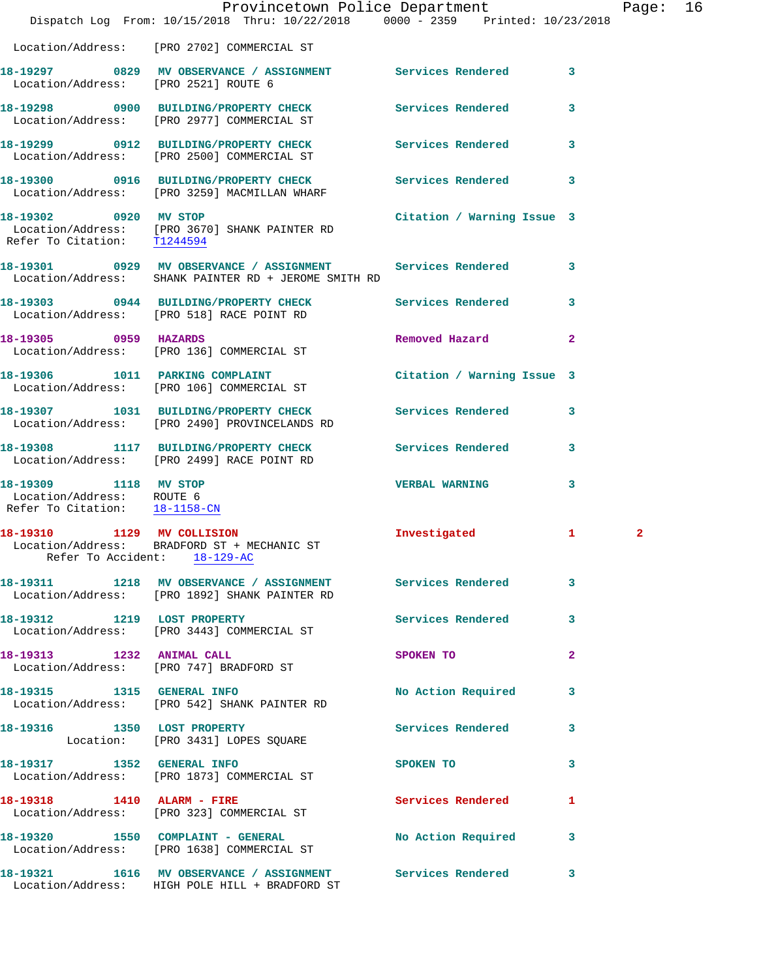|                                                                                     | Dispatch Log From: 10/15/2018 Thru: 10/22/2018 0000 - 2359 Printed: 10/23/2018                                       | Provincetown Police Department          |                         | Page:        | 16 |
|-------------------------------------------------------------------------------------|----------------------------------------------------------------------------------------------------------------------|-----------------------------------------|-------------------------|--------------|----|
|                                                                                     | Location/Address: [PRO 2702] COMMERCIAL ST                                                                           |                                         |                         |              |    |
| Location/Address: [PRO 2521] ROUTE 6                                                | 18-19297 0829 MV OBSERVANCE / ASSIGNMENT Services Rendered 3                                                         |                                         |                         |              |    |
|                                                                                     | 18-19298 0900 BUILDING/PROPERTY CHECK Services Rendered<br>Location/Address: [PRO 2977] COMMERCIAL ST                |                                         | $\mathbf{3}$            |              |    |
|                                                                                     | 18-19299 0912 BUILDING/PROPERTY CHECK Services Rendered 3<br>Location/Address: [PRO 2500] COMMERCIAL ST              |                                         |                         |              |    |
|                                                                                     | 18-19300 0916 BUILDING/PROPERTY CHECK Services Rendered 3<br>Location/Address: [PRO 3259] MACMILLAN WHARF            |                                         |                         |              |    |
| 18-19302 0920 MV STOP<br>Refer To Citation: T1244594                                | Location/Address: [PRO 3670] SHANK PAINTER RD                                                                        | Citation / Warning Issue 3              |                         |              |    |
|                                                                                     | 18-19301 0929 MV OBSERVANCE / ASSIGNMENT Services Rendered 3<br>Location/Address: SHANK PAINTER RD + JEROME SMITH RD |                                         |                         |              |    |
|                                                                                     | 18-19303 0944 BUILDING/PROPERTY CHECK Services Rendered 3<br>Location/Address: [PRO 518] RACE POINT RD               |                                         |                         |              |    |
| 18-19305 0959 HAZARDS                                                               | Location/Address: [PRO 136] COMMERCIAL ST                                                                            | Removed Hazard 2                        |                         |              |    |
|                                                                                     | 18-19306 1011 PARKING COMPLAINT<br>Location/Address: [PRO 106] COMMERCIAL ST                                         | Citation / Warning Issue 3              |                         |              |    |
|                                                                                     | 18-19307 1031 BUILDING/PROPERTY CHECK Services Rendered 3<br>Location/Address: [PRO 2490] PROVINCELANDS RD           |                                         |                         |              |    |
|                                                                                     | 18-19308 1117 BUILDING/PROPERTY CHECK<br>Location/Address: [PRO 2499] RACE POINT RD                                  | <b>Services Rendered</b>                | $\mathbf{3}$            |              |    |
| 18-19309 1118 MV STOP<br>Location/Address: ROUTE 6<br>Refer To Citation: 18-1158-CN |                                                                                                                      | <b>VERBAL WARNING</b>                   | 3                       |              |    |
|                                                                                     | 18-19310 1129 MV COLLISION<br>Location/Address: BRADFORD ST + MECHANIC ST<br>Refer To Accident: 18-129-AC            | Investigated                            | $\mathbf{1}$            | $\mathbf{2}$ |    |
|                                                                                     | 18-19311 1218 MV OBSERVANCE / ASSIGNMENT Services Rendered 3<br>Location/Address: [PRO 1892] SHANK PAINTER RD        |                                         |                         |              |    |
| 18-19312 1219 LOST PROPERTY                                                         | Location/Address: [PRO 3443] COMMERCIAL ST                                                                           | Services Rendered                       | $\overline{\mathbf{3}}$ |              |    |
| 18-19313 1232 ANIMAL CALL                                                           | Location/Address: [PRO 747] BRADFORD ST                                                                              | SPOKEN TO DESCRIPTION OF REAL PROPERTY. | $\mathbf{2}$            |              |    |
|                                                                                     | 18-19315 1315 GENERAL INFO<br>Location/Address: [PRO 542] SHANK PAINTER RD                                           | No Action Required 3                    |                         |              |    |
| 18-19316 1350 LOST PROPERTY                                                         | Location: [PRO 3431] LOPES SQUARE                                                                                    | Services Rendered                       | 3                       |              |    |
|                                                                                     | 18-19317 1352 GENERAL INFO<br>Location/Address: [PRO 1873] COMMERCIAL ST                                             | SPOKEN TO                               | 3                       |              |    |
|                                                                                     | 18-19318    1410    ALARM - FIRE<br>Location/Address: [PRO 323] COMMERCIAL ST                                        | Services Rendered                       | 1                       |              |    |
|                                                                                     | 18-19320 1550 COMPLAINT - GENERAL<br>Location/Address: [PRO 1638] COMMERCIAL ST                                      | No Action Required 3                    |                         |              |    |
|                                                                                     | 18-19321 1616 MV OBSERVANCE / ASSIGNMENT Services Rendered 3<br>Location/Address: HIGH POLE HILL + BRADFORD ST       |                                         |                         |              |    |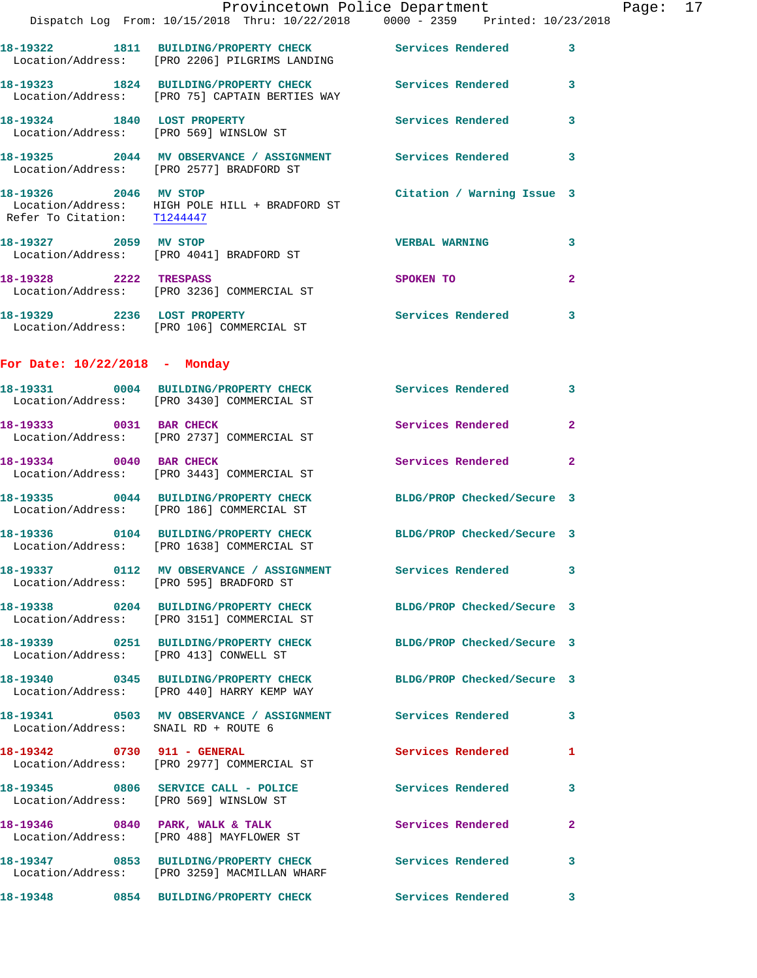|                                         | Provincetown Police Department<br>Dispatch Log From: 10/15/2018 Thru: 10/22/2018 0000 - 2359 Printed: 10/23/2018 |                            |                |
|-----------------------------------------|------------------------------------------------------------------------------------------------------------------|----------------------------|----------------|
|                                         | 18-19322 1811 BUILDING/PROPERTY CHECK Services Rendered<br>Location/Address: [PRO 2206] PILGRIMS LANDING         |                            | 3              |
|                                         | 18-19323 1824 BUILDING/PROPERTY CHECK Services Rendered<br>Location/Address: [PRO 75] CAPTAIN BERTIES WAY        |                            | 3              |
| 18-19324 1840 LOST PROPERTY             | Location/Address: [PRO 569] WINSLOW ST                                                                           | Services Rendered          | 3              |
|                                         | 18-19325 2044 MV OBSERVANCE / ASSIGNMENT Services Rendered<br>Location/Address: [PRO 2577] BRADFORD ST           |                            | 3              |
| Refer To Citation: T1244447             | 18-19326 2046 MV STOP<br>Location/Address: HIGH POLE HILL + BRADFORD ST                                          | Citation / Warning Issue 3 |                |
| 18-19327 2059 MV STOP                   | Location/Address: [PRO 4041] BRADFORD ST                                                                         | <b>VERBAL WARNING</b>      | 3              |
|                                         | 18-19328 2222 TRESPASS<br>Location/Address: [PRO 3236] COMMERCIAL ST                                             | <b>SPOKEN TO</b>           | $\mathbf{2}$   |
| 18-19329 2236 LOST PROPERTY             | Location/Address: [PRO 106] COMMERCIAL ST                                                                        | Services Rendered          | 3              |
| For Date: $10/22/2018$ - Monday         |                                                                                                                  |                            |                |
|                                         | 18-19331 0004 BUILDING/PROPERTY CHECK Services Rendered<br>Location/Address: [PRO 3430] COMMERCIAL ST            |                            | 3              |
| 18-19333 0031 BAR CHECK                 | Location/Address: [PRO 2737] COMMERCIAL ST                                                                       | Services Rendered          | $\overline{a}$ |
| 18-19334 0040 BAR CHECK                 | Location/Address: [PRO 3443] COMMERCIAL ST                                                                       | Services Rendered          | $\mathbf{2}$   |
|                                         | 18-19335 0044 BUILDING/PROPERTY CHECK<br>Location/Address: [PRO 186] COMMERCIAL ST                               | BLDG/PROP Checked/Secure 3 |                |
|                                         | 18-19336 0104 BUILDING/PROPERTY CHECK BLDG/PROP Checked/Secure 3<br>Location/Address: [PRO 1638] COMMERCIAL ST   |                            |                |
| Location/Address: [PRO 595] BRADFORD ST | 18-19337 0112 MV OBSERVANCE / ASSIGNMENT Services Rendered                                                       |                            | 3              |
|                                         | 18-19338 0204 BUILDING/PROPERTY CHECK BLDG/PROP Checked/Secure 3<br>Location/Address: [PRO 3151] COMMERCIAL ST   |                            |                |
| Location/Address: [PRO 413] CONWELL ST  | 18-19339 0251 BUILDING/PROPERTY CHECK BLDG/PROP Checked/Secure 3                                                 |                            |                |
|                                         | 18-19340 0345 BUILDING/PROPERTY CHECK BLDG/PROP Checked/Secure 3<br>Location/Address: [PRO 440] HARRY KEMP WAY   |                            |                |
| Location/Address: SNAIL RD + ROUTE 6    | 18-19341 0503 MV OBSERVANCE / ASSIGNMENT Services Rendered                                                       |                            | 3              |
| 18-19342 0730 911 - GENERAL             | Location/Address: [PRO 2977] COMMERCIAL ST                                                                       | <b>Services Rendered</b>   | 1              |
| Location/Address: [PRO 569] WINSLOW ST  | 18-19345 0806 SERVICE CALL - POLICE                                                                              | <b>Services Rendered</b>   | 3              |
|                                         | 18-19346 0840 PARK, WALK & TALK<br>Location/Address: [PRO 488] MAYFLOWER ST                                      | Services Rendered          | 2              |
|                                         | 18-19347 0853 BUILDING/PROPERTY CHECK<br>Location/Address: [PRO 3259] MACMILLAN WHARF                            | Services Rendered          | 3              |
|                                         | 18-19348 0854 BUILDING/PROPERTY CHECK                                                                            | <b>Services Rendered</b>   | 3              |

Page:  $17$ <br>18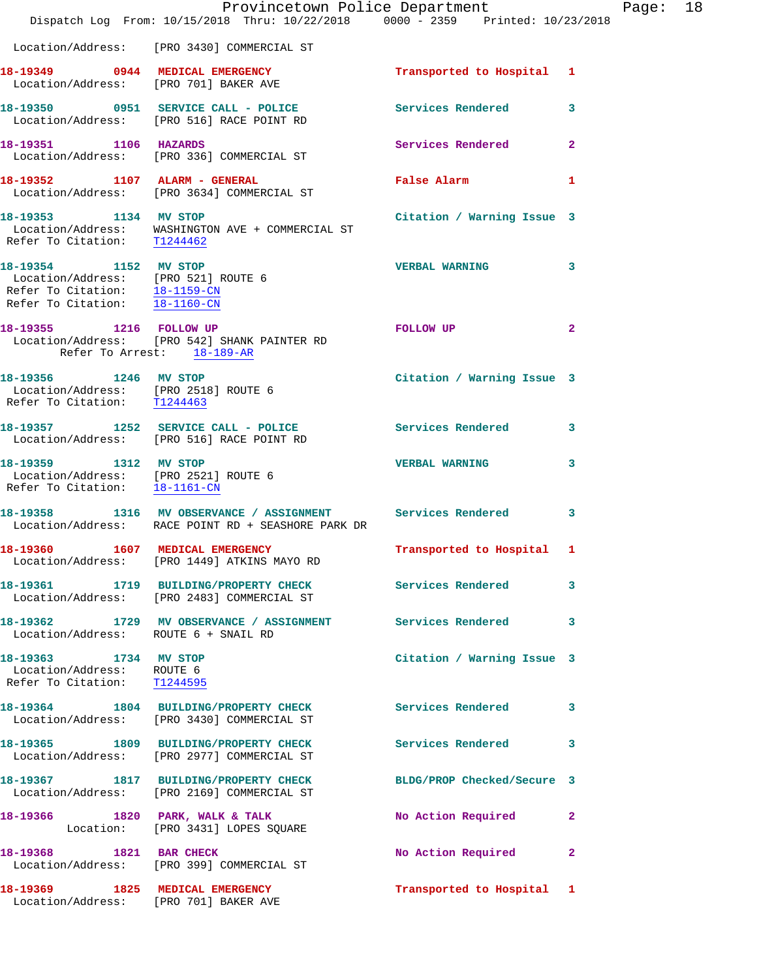|                                                                                                                                       | Dispatch Log From: 10/15/2018 Thru: 10/22/2018 0000 - 2359 Printed: 10/23/2018                                      | Provincetown Police Department | $\mathbf P$             |
|---------------------------------------------------------------------------------------------------------------------------------------|---------------------------------------------------------------------------------------------------------------------|--------------------------------|-------------------------|
|                                                                                                                                       | Location/Address: [PRO 3430] COMMERCIAL ST                                                                          |                                |                         |
|                                                                                                                                       | 18-19349 0944 MEDICAL EMERGENCY<br>Location/Address: [PRO 701] BAKER AVE                                            | Transported to Hospital 1      |                         |
|                                                                                                                                       | 18-19350 0951 SERVICE CALL - POLICE Services Rendered<br>Location/Address: [PRO 516] RACE POINT RD                  |                                | 3                       |
| 18-19351 1106 HAZARDS                                                                                                                 | Location/Address: [PRO 336] COMMERCIAL ST                                                                           | Services Rendered              | $\overline{2}$          |
|                                                                                                                                       | 18-19352 1107 ALARM - GENERAL<br>Location/Address: [PRO 3634] COMMERCIAL ST                                         | False Alarm                    | 1                       |
| 18-19353 1134 MV STOP                                                                                                                 | $\begin{tabular}{ll} Location/Address: & WASHINGTON AVE + COMMERCIAL STRefer To Citation: & T1244462 \end{tabular}$ | Citation / Warning Issue 3     |                         |
| 18-19354 1152 MV STOP<br>Location/Address: [PRO 521] ROUTE 6<br>Refer To Citation: <u>18-1159-CN</u><br>Refer To Citation: 18-1160-CN |                                                                                                                     | <b>VERBAL WARNING</b>          | 3                       |
| Refer To Arrest: 18-189-AR                                                                                                            | 18-19355 1216 FOLLOW UP<br>Location/Address: [PRO 542] SHANK PAINTER RD                                             | FOLLOW UP                      | $\overline{2}$          |
| 18-19356 1246 MV STOP<br>Location/Address: [PRO 2518] ROUTE 6<br>Refer To Citation: T1244463                                          |                                                                                                                     | Citation / Warning Issue 3     |                         |
|                                                                                                                                       | 18-19357 1252 SERVICE CALL - POLICE<br>Location/Address: [PRO 516] RACE POINT RD                                    | Services Rendered              | $\overline{\mathbf{3}}$ |
| 18-19359 1312 MV STOP<br>Location/Address: [PRO 2521] ROUTE 6<br>Refer To Citation: 18-1161-CN                                        |                                                                                                                     | <b>VERBAL WARNING</b>          | 3                       |
|                                                                                                                                       | 18-19358 1316 MV OBSERVANCE / ASSIGNMENT Services Rendered<br>Location/Address: RACE POINT RD + SEASHORE PARK DR    |                                | 3                       |
| 18-19360<br>1607                                                                                                                      | MEDICAL EMERGENCY<br>Location/Address: [PRO 1449] ATKINS MAYO RD                                                    | Transported to Hospital 1      |                         |
|                                                                                                                                       | 18-19361 1719 BUILDING/PROPERTY CHECK<br>Location/Address: [PRO 2483] COMMERCIAL ST                                 | Services Rendered              | 3                       |
| Location/Address: ROUTE 6 + SNAIL RD                                                                                                  | 18-19362 1729 MV OBSERVANCE / ASSIGNMENT Services Rendered                                                          |                                | 3                       |
| 18-19363 1734 MV STOP<br>Location/Address: ROUTE 6<br>Refer To Citation: T1244595                                                     |                                                                                                                     | Citation / Warning Issue 3     |                         |
|                                                                                                                                       | 18-19364 1804 BUILDING/PROPERTY CHECK<br>Location/Address: [PRO 3430] COMMERCIAL ST                                 | Services Rendered              | 3                       |
|                                                                                                                                       | 18-19365 1809 BUILDING/PROPERTY CHECK<br>Location/Address: [PRO 2977] COMMERCIAL ST                                 | Services Rendered              | 3                       |
|                                                                                                                                       | 18-19367 1817 BUILDING/PROPERTY CHECK<br>Location/Address: [PRO 2169] COMMERCIAL ST                                 | BLDG/PROP Checked/Secure 3     |                         |
|                                                                                                                                       | 18-19366 1820 PARK, WALK & TALK<br>Location: [PRO 3431] LOPES SQUARE                                                | No Action Required             | 2                       |
| 18-19368 1821 BAR CHECK                                                                                                               | Location/Address: [PRO 399] COMMERCIAL ST                                                                           | No Action Required             | 2                       |
| 18-19369 1825 MEDICAL EMERGENCY                                                                                                       | Location/Address: [PRO 701] BAKER AVE                                                                               | Transported to Hospital 1      |                         |

age: 18